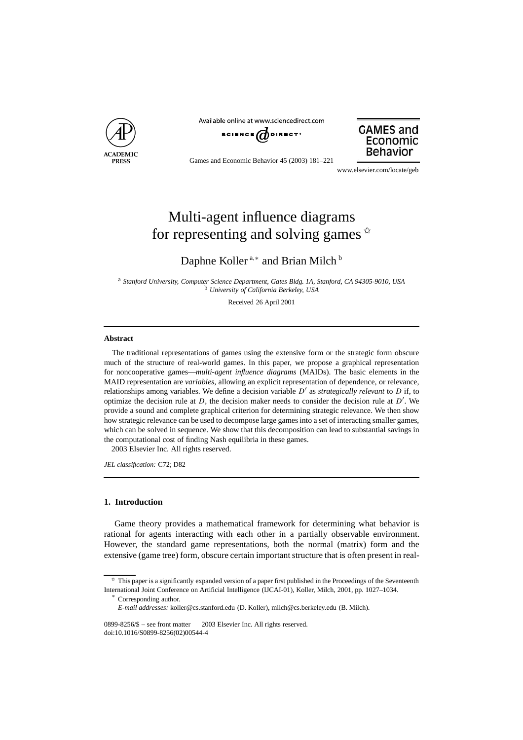





Games and Economic Behavior 45 (2003) 181–221

www.elsevier.com/locate/geb

# Multi-agent influence diagrams for representing and solving games  $\hat{z}$

# Daphne Koller<sup>a,∗</sup> and Brian Milch<sup>b</sup>

<sup>a</sup> *Stanford University, Computer Science Department, Gates Bldg. 1A, Stanford, CA 94305-9010, USA* <sup>b</sup> *University of California Berkeley, USA*

Received 26 April 2001

# **Abstract**

The traditional representations of games using the extensive form or the strategic form obscure much of the structure of real-world games. In this paper, we propose a graphical representation for noncooperative games—*multi-agent influence diagrams* (MAIDs). The basic elements in the MAID representation are *variables*, allowing an explicit representation of dependence, or relevance, relationships among variables. We define a decision variable *D'* as *strategically relevant* to *D* if, to optimize the decision rule at  $D$ , the decision maker needs to consider the decision rule at  $D'$ . We provide a sound and complete graphical criterion for determining strategic relevance. We then show how strategic relevance can be used to decompose large games into a set of interacting smaller games, which can be solved in sequence. We show that this decomposition can lead to substantial savings in the computational cost of finding Nash equilibria in these games. 2003 Elsevier Inc. All rights reserved.

*JEL classification:* C72; D82

## **1. Introduction**

Game theory provides a mathematical framework for determining what behavior is rational for agents interacting with each other in a partially observable environment. However, the standard game representations, both the normal (matrix) form and the extensive (game tree) form, obscure certain important structure that is often present in real-

 $*$  This paper is a significantly expanded version of a paper first published in the Proceedings of the Seventeenth International Joint Conference on Artificial Intelligence (IJCAI-01), Koller, Milch, 2001, pp. 1027–1034.

Corresponding author.

*E-mail addresses:* koller@cs.stanford.edu (D. Koller), milch@cs.berkeley.edu (B. Milch).

<sup>0899-8256/\$ –</sup> see front matter  $\degree$  2003 Elsevier Inc. All rights reserved. doi:10.1016/S0899-8256(02)00544-4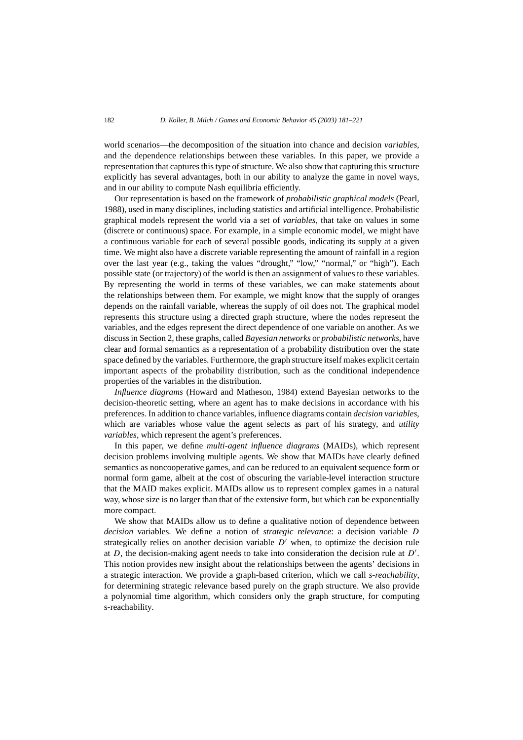world scenarios—the decomposition of the situation into chance and decision *variables*, and the dependence relationships between these variables. In this paper, we provide a representation that captures this type of structure. We also show that capturing this structure explicitly has several advantages, both in our ability to analyze the game in novel ways, and in our ability to compute Nash equilibria efficiently.

Our representation is based on the framework of *probabilistic graphical models* (Pearl, 1988), used in many disciplines, including statistics and artificial intelligence. Probabilistic graphical models represent the world via a set of *variables*, that take on values in some (discrete or continuous) space. For example, in a simple economic model, we might have a continuous variable for each of several possible goods, indicating its supply at a given time. We might also have a discrete variable representing the amount of rainfall in a region over the last year (e.g., taking the values "drought," "low," "normal," or "high"). Each possible state (or trajectory) of the world is then an assignment of values to these variables. By representing the world in terms of these variables, we can make statements about the relationships between them. For example, we might know that the supply of oranges depends on the rainfall variable, whereas the supply of oil does not. The graphical model represents this structure using a directed graph structure, where the nodes represent the variables, and the edges represent the direct dependence of one variable on another. As we discuss in Section 2, these graphs, called *Bayesian networks* or *probabilistic networks*, have clear and formal semantics as a representation of a probability distribution over the state space defined by the variables. Furthermore, the graph structure itself makes explicit certain important aspects of the probability distribution, such as the conditional independence properties of the variables in the distribution.

*Influence diagrams* (Howard and Matheson, 1984) extend Bayesian networks to the decision-theoretic setting, where an agent has to make decisions in accordance with his preferences. In addition to chance variables, influence diagrams contain *decision variables*, which are variables whose value the agent selects as part of his strategy, and *utility variables*, which represent the agent's preferences.

In this paper, we define *multi-agent influence diagrams* (MAIDs), which represent decision problems involving multiple agents. We show that MAIDs have clearly defined semantics as noncooperative games, and can be reduced to an equivalent sequence form or normal form game, albeit at the cost of obscuring the variable-level interaction structure that the MAID makes explicit. MAIDs allow us to represent complex games in a natural way, whose size is no larger than that of the extensive form, but which can be exponentially more compact.

We show that MAIDs allow us to define a qualitative notion of dependence between *decision* variables. We define a notion of *strategic relevance*: a decision variable *D* strategically relies on another decision variable  $D'$  when, to optimize the decision rule at  $D$ , the decision-making agent needs to take into consideration the decision rule at  $D'$ . This notion provides new insight about the relationships between the agents' decisions in a strategic interaction. We provide a graph-based criterion, which we call *s-reachability*, for determining strategic relevance based purely on the graph structure. We also provide a polynomial time algorithm, which considers only the graph structure, for computing s-reachability.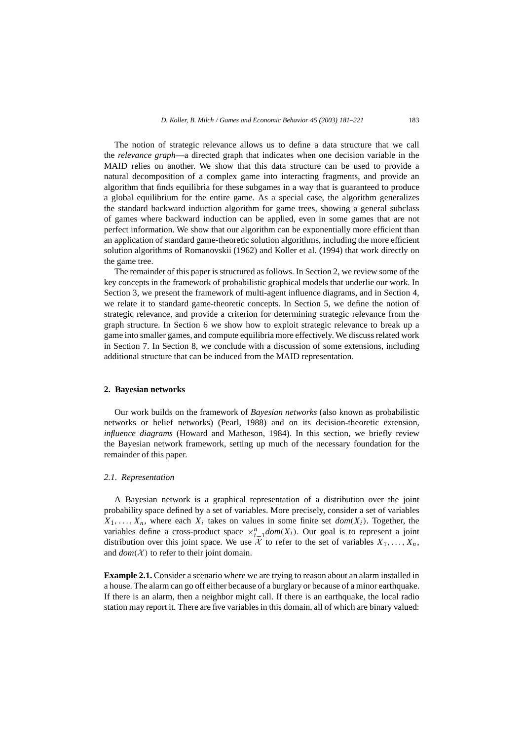The notion of strategic relevance allows us to define a data structure that we call the *relevance graph*—a directed graph that indicates when one decision variable in the MAID relies on another. We show that this data structure can be used to provide a natural decomposition of a complex game into interacting fragments, and provide an algorithm that finds equilibria for these subgames in a way that is guaranteed to produce a global equilibrium for the entire game. As a special case, the algorithm generalizes the standard backward induction algorithm for game trees, showing a general subclass of games where backward induction can be applied, even in some games that are not perfect information. We show that our algorithm can be exponentially more efficient than an application of standard game-theoretic solution algorithms, including the more efficient solution algorithms of Romanovskii (1962) and Koller et al. (1994) that work directly on the game tree.

The remainder of this paper is structured as follows. In Section 2, we review some of the key concepts in the framework of probabilistic graphical models that underlie our work. In Section 3, we present the framework of multi-agent influence diagrams, and in Section 4, we relate it to standard game-theoretic concepts. In Section 5, we define the notion of strategic relevance, and provide a criterion for determining strategic relevance from the graph structure. In Section 6 we show how to exploit strategic relevance to break up a game into smaller games, and compute equilibria more effectively. We discuss related work in Section 7. In Section 8, we conclude with a discussion of some extensions, including additional structure that can be induced from the MAID representation.

## **2. Bayesian networks**

Our work builds on the framework of *Bayesian networks* (also known as probabilistic networks or belief networks) (Pearl, 1988) and on its decision-theoretic extension, *influence diagrams* (Howard and Matheson, 1984). In this section, we briefly review the Bayesian network framework, setting up much of the necessary foundation for the remainder of this paper.

#### *2.1. Representation*

A Bayesian network is a graphical representation of a distribution over the joint probability space defined by a set of variables. More precisely, consider a set of variables  $X_1, \ldots, X_n$ , where each  $X_i$  takes on values in some finite set  $dom(X_i)$ . Together, the variables define a cross-product space  $\times_{i=1}^n \text{dom}(X_i)$ . Our goal is to represent a joint distribution over this joint space. We use  $\mathcal X$  to refer to the set of variables  $X_1, \ldots, X_n$ , and  $dom(X)$  to refer to their joint domain.

**Example 2.1.** Consider a scenario where we are trying to reason about an alarm installed in a house. The alarm can go off either because of a burglary or because of a minor earthquake. If there is an alarm, then a neighbor might call. If there is an earthquake, the local radio station may report it. There are five variables in this domain, all of which are binary valued: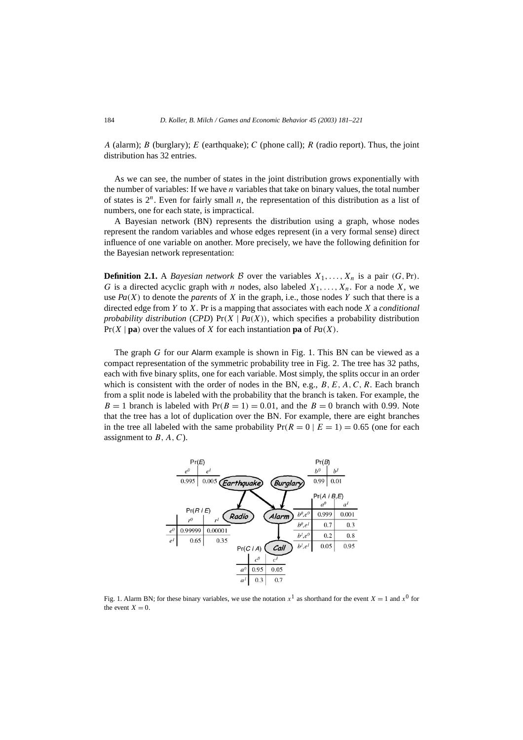*A* (alarm); *B* (burglary); *E* (earthquake); *C* (phone call); *R* (radio report). Thus, the joint distribution has 32 entries.

As we can see, the number of states in the joint distribution grows exponentially with the number of variables: If we have *n* variables that take on binary values, the total number of states is 2*n*. Even for fairly small *n*, the representation of this distribution as a list of numbers, one for each state, is impractical.

A Bayesian network (BN) represents the distribution using a graph, whose nodes represent the random variables and whose edges represent (in a very formal sense) direct influence of one variable on another. More precisely, we have the following definition for the Bayesian network representation:

**Definition 2.1.** A *Bayesian network* B over the variables  $X_1, \ldots, X_n$  is a pair  $(G, Pr)$ . *G* is a directed acyclic graph with *n* nodes, also labeled  $X_1, \ldots, X_n$ . For a node *X*, we use  $Pa(X)$  to denote the *parents* of X in the graph, i.e., those nodes Y such that there is a directed edge from *Y* to *X*. Pr is a mapping that associates with each node *X* a *conditional probability distribution* (*CPD*)  $Pr(X | Pa(X))$ , which specifies a probability distribution  $Pr(X | pa)$  over the values of *X* for each instantiation **pa** of  $Pa(X)$ .

The graph *G* for our Alarm example is shown in Fig. 1. This BN can be viewed as a compact representation of the symmetric probability tree in Fig. 2. The tree has 32 paths, each with five binary splits, one for each variable. Most simply, the splits occur in an order which is consistent with the order of nodes in the BN, e.g., *B*, *E*, *A*, *C*, *R*. Each branch from a split node is labeled with the probability that the branch is taken. For example, the  $B = 1$  branch is labeled with  $Pr(B = 1) = 0.01$ , and the  $B = 0$  branch with 0*.99*. Note that the tree has a lot of duplication over the BN. For example, there are eight branches in the tree all labeled with the same probability  $Pr(R = 0 \mid E = 1) = 0.65$  (one for each assignment to *B,A,C*).



Fig. 1. Alarm BN; for these binary variables, we use the notation  $x^1$  as shorthand for the event  $X = 1$  and  $x^0$  for the event  $X = 0$ .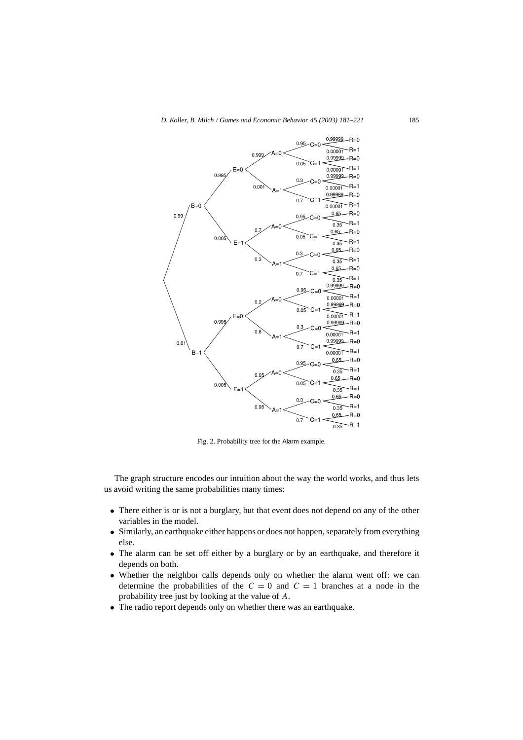

Fig. 2. Probability tree for the Alarm example.

The graph structure encodes our intuition about the way the world works, and thus lets us avoid writing the same probabilities many times:

- There either is or is not a burglary, but that event does not depend on any of the other variables in the model.
- Similarly, an earthquake either happens or does not happen, separately from everything else.
- The alarm can be set off either by a burglary or by an earthquake, and therefore it depends on both.
- Whether the neighbor calls depends only on whether the alarm went off: we can determine the probabilities of the  $C = 0$  and  $C = 1$  branches at a node in the probability tree just by looking at the value of *A*.
- The radio report depends only on whether there was an earthquake.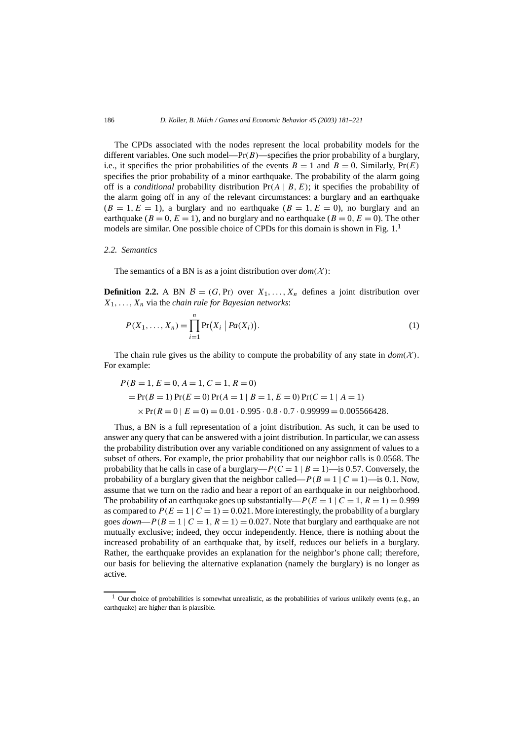The CPDs associated with the nodes represent the local probability models for the different variables. One such model—Pr*(B)*—specifies the prior probability of a burglary, i.e., it specifies the prior probabilities of the events  $B = 1$  and  $B = 0$ . Similarly,  $Pr(E)$ specifies the prior probability of a minor earthquake. The probability of the alarm going off is a *conditional* probability distribution Pr*(A* | *B,E)*; it specifies the probability of the alarm going off in any of the relevant circumstances: a burglary and an earthquake  $(B = 1, E = 1)$ , a burglary and no earthquake  $(B = 1, E = 0)$ , no burglary and an earthquake ( $B = 0, E = 1$ ), and no burglary and no earthquake ( $B = 0, E = 0$ ). The other models are similar. One possible choice of CPDs for this domain is shown in Fig.  $1<sup>1</sup>$ 

# *2.2. Semantics*

The semantics of a BN is as a joint distribution over  $dom(\mathcal{X})$ :

**Definition 2.2.** A BN  $\mathcal{B} = (G, Pr)$  over  $X_1, \ldots, X_n$  defines a joint distribution over  $X_1, \ldots, X_n$  via the *chain rule for Bayesian networks*:

$$
P(X_1, ..., X_n) = \prod_{i=1}^{n} \Pr(X_i \mid Pa(X_i)).
$$
 (1)

The chain rule gives us the ability to compute the probability of any state in  $dom(X)$ . For example:

$$
P(B = 1, E = 0, A = 1, C = 1, R = 0)
$$
  
= Pr(B = 1) Pr(E = 0) Pr(A = 1 | B = 1, E = 0) Pr(C = 1 | A = 1)  

$$
\times Pr(R = 0 | E = 0) = 0.01 \cdot 0.995 \cdot 0.8 \cdot 0.7 \cdot 0.99999 = 0.005566428.
$$

Thus, a BN is a full representation of a joint distribution. As such, it can be used to answer any query that can be answered with a joint distribution. In particular, we can assess the probability distribution over any variable conditioned on any assignment of values to a subset of others. For example, the prior probability that our neighbor calls is 0*.*0568. The probability that he calls in case of a burglary— $P(C = 1 | B = 1)$ —is 0*.57*. Conversely, the probability of a burglary given that the neighbor called— $P(B = 1 | C = 1)$ —is 0.1. Now, assume that we turn on the radio and hear a report of an earthquake in our neighborhood. The probability of an earthquake goes up substantially— $P(E = 1 | C = 1, R = 1) = 0.999$ as compared to  $P(E = 1 \mid C = 1) = 0.021$ . More interestingly, the probability of a burglary goes  $down-P(B=1 | C=1, R=1) = 0.027$ . Note that burglary and earthquake are not mutually exclusive; indeed, they occur independently. Hence, there is nothing about the increased probability of an earthquake that, by itself, reduces our beliefs in a burglary. Rather, the earthquake provides an explanation for the neighbor's phone call; therefore, our basis for believing the alternative explanation (namely the burglary) is no longer as active.

<sup>&</sup>lt;sup>1</sup> Our choice of probabilities is somewhat unrealistic, as the probabilities of various unlikely events (e.g., an earthquake) are higher than is plausible.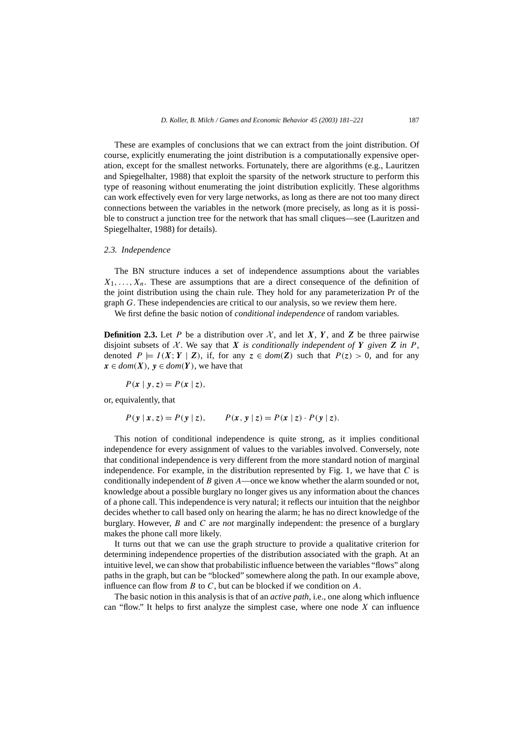These are examples of conclusions that we can extract from the joint distribution. Of course, explicitly enumerating the joint distribution is a computationally expensive operation, except for the smallest networks. Fortunately, there are algorithms (e.g., Lauritzen and Spiegelhalter, 1988) that exploit the sparsity of the network structure to perform this type of reasoning without enumerating the joint distribution explicitly. These algorithms can work effectively even for very large networks, as long as there are not too many direct connections between the variables in the network (more precisely, as long as it is possible to construct a junction tree for the network that has small cliques—see (Lauritzen and Spiegelhalter, 1988) for details).

#### *2.3. Independence*

The BN structure induces a set of independence assumptions about the variables  $X_1, \ldots, X_n$ . These are assumptions that are a direct consequence of the definition of the joint distribution using the chain rule. They hold for any parameterization Pr of the graph *G*. These independencies are critical to our analysis, so we review them here.

We first define the basic notion of *conditional independence* of random variables.

**Definition 2.3.** Let *P* be a distribution over *X*, and let *X*, *Y*, and **Z** be three pairwise disjoint subsets of  $X$ . We say that  $X$  *is conditionally independent of*  $Y$  *given*  $Z$  *in*  $P$ , denoted *P*  $\models$  *I*(*X*; *Y* | *Z*), if, for any *z* ∈ *dom*(*Z*) such that *P*(*z*) > 0, and for any  $x \in dom(X), y \in dom(Y)$ , we have that

 $P(x | y, z) = P(x | z)$ ,

or, equivalently, that

$$
P(y | x, z) = P(y | z),
$$
  $P(x, y | z) = P(x | z) \cdot P(y | z).$ 

This notion of conditional independence is quite strong, as it implies conditional independence for every assignment of values to the variables involved. Conversely, note that conditional independence is very different from the more standard notion of marginal independence. For example, in the distribution represented by Fig. 1, we have that *C* is conditionally independent of *B* given *A*—once we know whether the alarm sounded or not, knowledge about a possible burglary no longer gives us any information about the chances of a phone call. This independence is very natural; it reflects our intuition that the neighbor decides whether to call based only on hearing the alarm; he has no direct knowledge of the burglary. However, *B* and *C* are *not* marginally independent: the presence of a burglary makes the phone call more likely.

It turns out that we can use the graph structure to provide a qualitative criterion for determining independence properties of the distribution associated with the graph. At an intuitive level, we can show that probabilistic influence between the variables "flows" along paths in the graph, but can be "blocked" somewhere along the path. In our example above, influence can flow from *B* to *C*, but can be blocked if we condition on *A*.

The basic notion in this analysis is that of an *active path*, i.e., one along which influence can "flow." It helps to first analyze the simplest case, where one node *X* can influence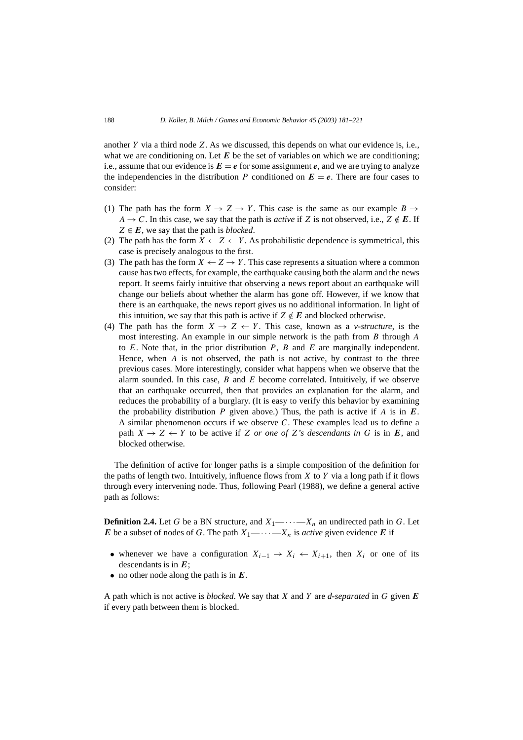another *Y* via a third node *Z*. As we discussed, this depends on what our evidence is, i.e., what we are conditioning on. Let  $E$  be the set of variables on which we are conditioning; i.e., assume that our evidence is  $E = e$  for some assignment  $e$ , and we are trying to analyze the independencies in the distribution *P* conditioned on  $E = e$ . There are four cases to consider:

- (1) The path has the form  $X \to Z \to Y$ . This case is the same as our example  $B \to Y$ *A*  $\rightarrow$  *C*. In this case, we say that the path is *active* if *Z* is not observed, i.e., *Z*  $\notin$  *E*. If  $Z \in E$ , we say that the path is *blocked*.
- (2) The path has the form  $X \leftarrow Z \leftarrow Y$ . As probabilistic dependence is symmetrical, this case is precisely analogous to the first.
- (3) The path has the form  $X \leftarrow Z \rightarrow Y$ . This case represents a situation where a common cause has two effects, for example, the earthquake causing both the alarm and the news report. It seems fairly intuitive that observing a news report about an earthquake will change our beliefs about whether the alarm has gone off. However, if we know that there is an earthquake, the news report gives us no additional information. In light of this intuition, we say that this path is active if  $Z \notin E$  and blocked otherwise.
- (4) The path has the form  $X \to Z \leftarrow Y$ . This case, known as a *v-structure*, is the most interesting. An example in our simple network is the path from *B* through *A* to *E*. Note that, in the prior distribution *P*, *B* and *E* are marginally independent. Hence, when *A* is not observed, the path is not active, by contrast to the three previous cases. More interestingly, consider what happens when we observe that the alarm sounded. In this case, *B* and *E* become correlated. Intuitively, if we observe that an earthquake occurred, then that provides an explanation for the alarm, and reduces the probability of a burglary. (It is easy to verify this behavior by examining the probability distribution  $P$  given above.) Thus, the path is active if  $A$  is in  $E$ . A similar phenomenon occurs if we observe *C*. These examples lead us to define a path  $X \to Z \leftarrow Y$  to be active if *Z* or one of *Z*'s descendants in *G* is in *E*, and blocked otherwise.

The definition of active for longer paths is a simple composition of the definition for the paths of length two. Intuitively, influence flows from *X* to *Y* via a long path if it flows through every intervening node. Thus, following Pearl (1988), we define a general active path as follows:

**Definition 2.4.** Let *G* be a BN structure, and  $X_1 - \cdots - X_n$  an undirected path in *G*. Let *E* be a subset of nodes of *G*. The path  $X_1$ — $\cdots$ — $X_n$  is *active* given evidence *E* if

- whenever we have a configuration  $X_{i-1} \to X_i \leftarrow X_{i+1}$ , then  $X_i$  or one of its descendants is in *E*;
- no other node along the path is in *E*.

A path which is not active is *blocked*. We say that *X* and *Y* are *d-separated* in *G* given *E* if every path between them is blocked.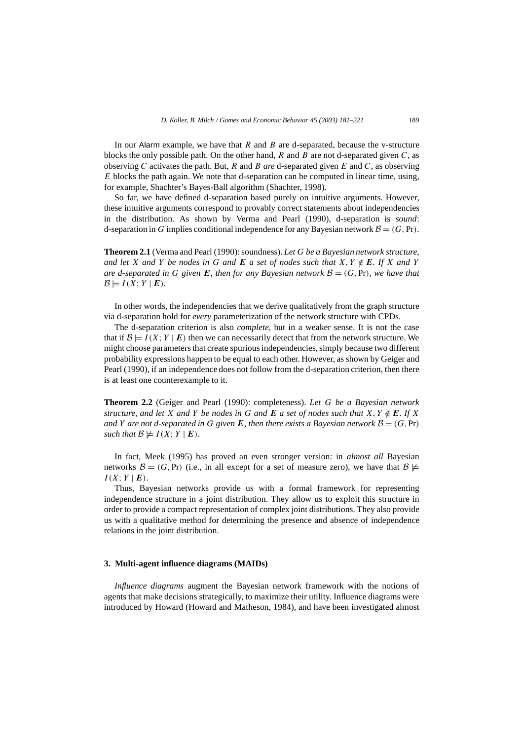In our Alarm example, we have that *R* and *B* are d-separated, because the v-structure blocks the only possible path. On the other hand, *R* and *B* are not d-separated given *C*, as observing *C* activates the path. But, *R* and *B are* d-separated given *E* and *C*, as observing *E* blocks the path again. We note that d-separation can be computed in linear time, using, for example, Shachter's Bayes-Ball algorithm (Shachter, 1998).

So far, we have defined d-separation based purely on intuitive arguments. However, these intuitive arguments correspond to provably correct statements about independencies in the distribution. As shown by Verma and Pearl (1990), d-separation is *sound*: d-separation in *G* implies conditional independence for any Bayesian network  $\mathcal{B} = (G, Pr)$ .

**Theorem 2.1** (Verma and Pearl (1990): soundness). *Let G be a Bayesian network structure, and let X and Y be nodes in G and E a set of nodes such that*  $X, Y \notin E$ *. If X and Y are d-separated in G given* **E***, then for any Bayesian network*  $\mathcal{B} = (G, Pr)$ *, we have that*  $\mathcal{B} \models I(X; Y | E)$ *.* 

In other words, the independencies that we derive qualitatively from the graph structure via d-separation hold for *every* parameterization of the network structure with CPDs.

The d-separation criterion is also *complete*, but in a weaker sense. It is not the case that if  $\mathcal{B} = I(X; Y | E)$  then we can necessarily detect that from the network structure. We might choose parameters that create spurious independencies, simply because two different probability expressions happen to be equal to each other. However, as shown by Geiger and Pearl (1990), if an independence does not follow from the d-separation criterion, then there is at least one counterexample to it.

**Theorem 2.2** (Geiger and Pearl (1990): completeness). *Let G be a Bayesian network structure, and let X and Y be nodes in G and E a set of nodes such that*  $X, Y \notin E$ *. If*  $X$ *and Y are not d-separated in G given E, then there exists a Bayesian network*  $B = (G, Pr)$ *such that*  $\mathcal{B} \not\models I(X;Y \mid E)$ *.* 

In fact, Meek (1995) has proved an even stronger version: in *almost all* Bayesian networks  $\mathcal{B} = (G, Pr)$  (i.e., in all except for a set of measure zero), we have that  $\mathcal{B} \not\models$  $I(X;Y|E)$ .

Thus, Bayesian networks provide us with a formal framework for representing independence structure in a joint distribution. They allow us to exploit this structure in order to provide a compact representation of complex joint distributions. They also provide us with a qualitative method for determining the presence and absence of independence relations in the joint distribution.

### **3. Multi-agent influence diagrams (MAIDs)**

*Influence diagrams* augment the Bayesian network framework with the notions of agents that make decisions strategically, to maximize their utility. Influence diagrams were introduced by Howard (Howard and Matheson, 1984), and have been investigated almost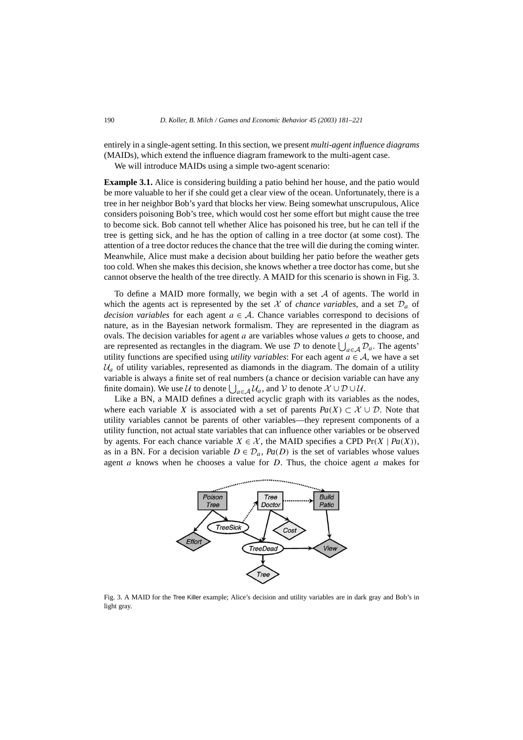entirely in a single-agent setting. In this section, we present *multi-agent influence diagrams* (MAIDs), which extend the influence diagram framework to the multi-agent case.

We will introduce MAIDs using a simple two-agent scenario:

**Example 3.1.** Alice is considering building a patio behind her house, and the patio would be more valuable to her if she could get a clear view of the ocean. Unfortunately, there is a tree in her neighbor Bob's yard that blocks her view. Being somewhat unscrupulous, Alice considers poisoning Bob's tree, which would cost her some effort but might cause the tree to become sick. Bob cannot tell whether Alice has poisoned his tree, but he can tell if the tree is getting sick, and he has the option of calling in a tree doctor (at some cost). The attention of a tree doctor reduces the chance that the tree will die during the coming winter. Meanwhile, Alice must make a decision about building her patio before the weather gets too cold. When she makes this decision, she knows whether a tree doctor has come, but she cannot observe the health of the tree directly. A MAID for this scenario is shown in Fig. 3.

To define a MAID more formally, we begin with a set  $A$  of agents. The world in which the agents act is represented by the set X of *chance variables*, and a set  $\mathcal{D}_a$  of *decision variables* for each agent  $a \in \mathcal{A}$ . Chance variables correspond to decisions of nature, as in the Bayesian network formalism. They are represented in the diagram as ovals. The decision variables for agent *a* are variables whose values *a* gets to choose, and are represented as rectangles in the diagram. We use  $D$  to denote  $\bigcup_{a \in A} D_a$ . The agents' utility functions are specified using *utility variables*: For each agent  $a \in A$ , we have a set  $\mathcal{U}_a$  of utility variables, represented as diamonds in the diagram. The domain of a utility variable is always a finite set of real numbers (a chance or decision variable can have any finite domain). We use U to denote  $\bigcup_{a \in \mathcal{A}} U_a$ , and V to denote  $\mathcal{X} \cup \mathcal{D} \cup \mathcal{U}$ .

Like a BN, a MAID defines a directed acyclic graph with its variables as the nodes, where each variable *X* is associated with a set of parents  $Pa(X) \subset \mathcal{X} \cup \mathcal{D}$ . Note that utility variables cannot be parents of other variables—they represent components of a utility function, not actual state variables that can influence other variables or be observed by agents. For each chance variable  $X \in \mathcal{X}$ , the MAID specifies a CPD Pr $(X \mid Pa(X))$ , as in a BN. For a decision variable  $D \in \mathcal{D}_a$ ,  $Pa(D)$  is the set of variables whose values agent *a* knows when he chooses a value for *D*. Thus, the choice agent *a* makes for



Fig. 3. A MAID for the Tree Killer example; Alice's decision and utility variables are in dark gray and Bob's in light gray.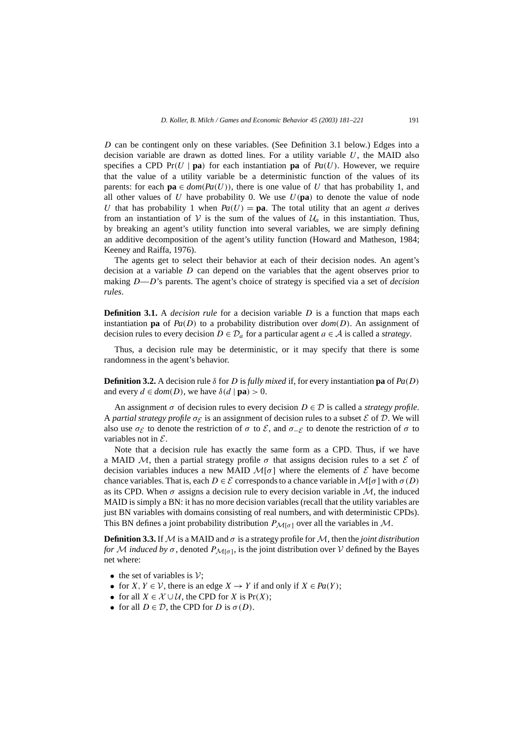*D* can be contingent only on these variables. (See Definition 3.1 below.) Edges into a decision variable are drawn as dotted lines. For a utility variable *U*, the MAID also specifies a CPD Pr $(U | pa)$  for each instantiation **pa** of  $Pa(U)$ . However, we require that the value of a utility variable be a deterministic function of the values of its parents: for each  $\mathbf{pa} \in dom(Pa(U))$ , there is one value of *U* that has probability 1, and all other values of *U* have probability 0. We use  $U$  (pa) to denote the value of node *U* that has probability 1 when  $Pa(U) =$  **pa**. The total utility that an agent *a* derives from an instantiation of  $V$  is the sum of the values of  $\mathcal{U}_a$  in this instantiation. Thus, by breaking an agent's utility function into several variables, we are simply defining an additive decomposition of the agent's utility function (Howard and Matheson, 1984; Keeney and Raiffa, 1976).

The agents get to select their behavior at each of their decision nodes. An agent's decision at a variable *D* can depend on the variables that the agent observes prior to making *D*—*D*'s parents. The agent's choice of strategy is specified via a set of *decision rules*.

**Definition 3.1.** A *decision rule* for a decision variable *D* is a function that maps each instantiation **pa** of  $Pa(D)$  to a probability distribution over  $dom(D)$ . An assignment of decision rules to every decision  $D \in \mathcal{D}_a$  for a particular agent  $a \in \mathcal{A}$  is called a *strategy*.

Thus, a decision rule may be deterministic, or it may specify that there is some randomness in the agent's behavior.

**Definition 3.2.** A decision rule  $\delta$  for *D* is *fully mixed* if, for every instantiation **pa** of *Pa*(*D*) and every  $d \in dom(D)$ , we have  $\delta(d | \mathbf{pa}) > 0$ .

An assignment  $\sigma$  of decision rules to every decision  $D \in \mathcal{D}$  is called a *strategy profile*. A *partial strategy profile*  $\sigma_{\mathcal{E}}$  is an assignment of decision rules to a subset  $\mathcal{E}$  of  $\mathcal{D}$ . We will also use  $\sigma_{\mathcal{E}}$  to denote the restriction of  $\sigma$  to  $\mathcal{E}$ , and  $\sigma_{-\mathcal{E}}$  to denote the restriction of  $\sigma$  to variables not in  $\mathcal{E}$ .

Note that a decision rule has exactly the same form as a CPD. Thus, if we have a MAID M, then a partial strategy profile  $\sigma$  that assigns decision rules to a set  $\mathcal E$  of decision variables induces a new MAID  $\mathcal{M}[\sigma]$  where the elements of  $\mathcal E$  have become chance variables. That is, each  $D \in \mathcal{E}$  corresponds to a chance variable in  $\mathcal{M}[\sigma]$  with  $\sigma(D)$ as its CPD. When  $\sigma$  assigns a decision rule to every decision variable in  $M$ , the induced MAID is simply a BN: it has no more decision variables (recall that the utility variables are just BN variables with domains consisting of real numbers, and with deterministic CPDs). This BN defines a joint probability distribution  $P_{\mathcal{M}[\sigma]}$  over all the variables in M.

**Definition 3.3.** If M is a MAID and  $\sigma$  is a strategy profile for M, then the *joint distribution for* M *induced by*  $\sigma$ , denoted  $P_{\mathcal{M}[\sigma]}$ , is the joint distribution over V defined by the Bayes net where:

- the set of variables is  $V$ ;
- for *X*,  $Y \in V$ , there is an edge  $X \to Y$  if and only if  $X \in Pa(Y)$ ;
- for all  $X \in \mathcal{X} \cup \mathcal{U}$ , the CPD for *X* is Pr(*X*);
- for all  $D \in \mathcal{D}$ , the CPD for *D* is  $\sigma(D)$ .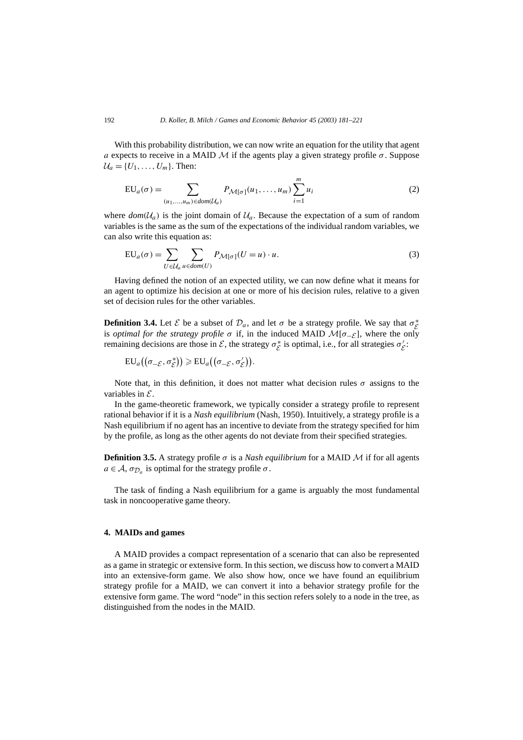With this probability distribution, we can now write an equation for the utility that agent *a* expects to receive in a MAID M if the agents play a given strategy profile *σ* . Suppose  $U_a = \{U_1, \ldots, U_m\}$ . Then:

$$
EU_a(\sigma) = \sum_{(u_1,\ldots,u_m)\in dom(\mathcal{U}_a)} P_{\mathcal{M}[\sigma]}(u_1,\ldots,u_m) \sum_{i=1}^m u_i
$$
 (2)

where  $dom(\mathcal{U}_a)$  is the joint domain of  $\mathcal{U}_a$ . Because the expectation of a sum of random variables is the same as the sum of the expectations of the individual random variables, we can also write this equation as:

$$
EU_a(\sigma) = \sum_{U \in \mathcal{U}_a} \sum_{u \in dom(U)} P_{\mathcal{M}[\sigma]}(U = u) \cdot u.
$$
 (3)

Having defined the notion of an expected utility, we can now define what it means for an agent to optimize his decision at one or more of his decision rules, relative to a given set of decision rules for the other variables.

**Definition 3.4.** Let  $\mathcal{E}$  be a subset of  $\mathcal{D}_a$ , and let  $\sigma$  be a strategy profile. We say that  $\sigma^*_{\mathcal{E}}$ is *optimal for the strategy profile*  $\sigma$  if, in the induced MAID  $\mathcal{M}[\sigma_{-\mathcal{E}}]$ , where the only remaining decisions are those in  $\mathcal{E}$ , the strategy  $\sigma_{\mathcal{E}}^*$  is optimal, i.e., for all strategies  $\sigma_{\mathcal{E}}'$ :

$$
\mathrm{EU}_a((\sigma_{-\mathcal{E}}, \sigma_{\mathcal{E}}^*)) \geqslant \mathrm{EU}_a((\sigma_{-\mathcal{E}}, \sigma_{\mathcal{E}}')).
$$

Note that, in this definition, it does not matter what decision rules  $\sigma$  assigns to the variables in  $\mathcal{E}$ .

In the game-theoretic framework, we typically consider a strategy profile to represent rational behavior if it is a *Nash equilibrium* (Nash, 1950). Intuitively, a strategy profile is a Nash equilibrium if no agent has an incentive to deviate from the strategy specified for him by the profile, as long as the other agents do not deviate from their specified strategies.

**Definition 3.5.** A strategy profile  $\sigma$  is a *Nash equilibrium* for a MAID M if for all agents  $a \in \mathcal{A}$ ,  $\sigma_{\mathcal{D}_a}$  is optimal for the strategy profile  $\sigma$ .

The task of finding a Nash equilibrium for a game is arguably the most fundamental task in noncooperative game theory.

# **4. MAIDs and games**

A MAID provides a compact representation of a scenario that can also be represented as a game in strategic or extensive form. In this section, we discuss how to convert a MAID into an extensive-form game. We also show how, once we have found an equilibrium strategy profile for a MAID, we can convert it into a behavior strategy profile for the extensive form game. The word "node" in this section refers solely to a node in the tree, as distinguished from the nodes in the MAID.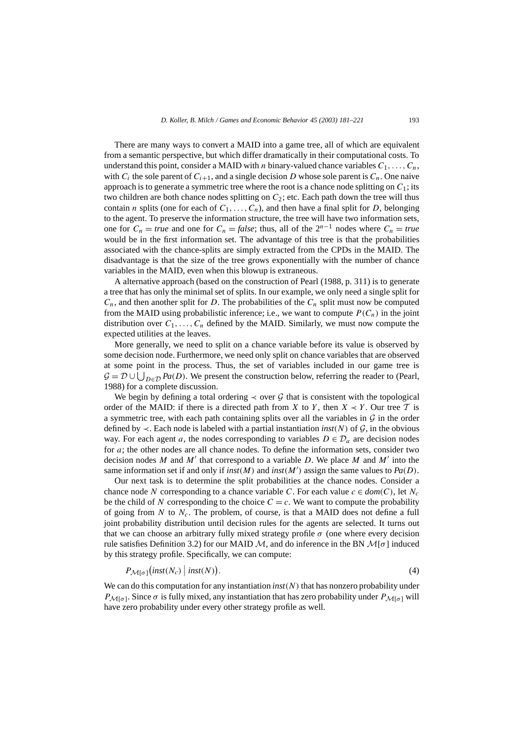There are many ways to convert a MAID into a game tree, all of which are equivalent from a semantic perspective, but which differ dramatically in their computational costs. To understand this point, consider a MAID with *n* binary-valued chance variables  $C_1, \ldots, C_n$ , with  $C_i$  the sole parent of  $C_{i+1}$ , and a single decision *D* whose sole parent is  $C_n$ . One naive approach is to generate a symmetric tree where the root is a chance node splitting on  $C_1$ ; its two children are both chance nodes splitting on  $C_2$ ; etc. Each path down the tree will thus contain *n* splits (one for each of  $C_1, \ldots, C_n$ ), and then have a final split for *D*, belonging to the agent. To preserve the information structure, the tree will have two information sets, one for  $C_n$  = *true* and one for  $C_n$  = *false*; thus, all of the  $2^{n-1}$  nodes where  $C_n$  = *true* would be in the first information set. The advantage of this tree is that the probabilities associated with the chance-splits are simply extracted from the CPDs in the MAID. The disadvantage is that the size of the tree grows exponentially with the number of chance variables in the MAID, even when this blowup is extraneous.

A alternative approach (based on the construction of Pearl (1988, p. 311) is to generate a tree that has only the minimal set of splits. In our example, we only need a single split for  $C_n$ , and then another split for *D*. The probabilities of the  $C_n$  split must now be computed from the MAID using probabilistic inference; i.e., we want to compute  $P(C_n)$  in the joint distribution over  $C_1, \ldots, C_n$  defined by the MAID. Similarly, we must now compute the expected utilities at the leaves.

More generally, we need to split on a chance variable before its value is observed by some decision node. Furthermore, we need only split on chance variables that are observed at some point in the process. Thus, the set of variables included in our game tree is  $G = D \cup \bigcup_{D \in \mathcal{D}} Pa(D)$ . We present the construction below, referring the reader to (Pearl, 1988) for a complete discussion.

We begin by defining a total ordering  $\prec$  over  $\mathcal G$  that is consistent with the topological order of the MAID: if there is a directed path from *X* to *Y*, then  $X \prec Y$ . Our tree  $T$  is a symmetric tree, with each path containing splits over all the variables in  $G$  in the order defined by  $\prec$ . Each node is labeled with a partial instantiation *inst*(*N*) of *G*, in the obvious way. For each agent *a*, the nodes corresponding to variables  $D \in \mathcal{D}_a$  are decision nodes for *a*; the other nodes are all chance nodes. To define the information sets, consider two decision nodes  $M$  and  $M'$  that correspond to a variable  $D$ . We place  $M$  and  $M'$  into the same information set if and only if  $inst(M)$  and  $inst(M')$  assign the same values to  $Pa(D)$ .

Our next task is to determine the split probabilities at the chance nodes. Consider a chance node *N* corresponding to a chance variable *C*. For each value  $c \in dom(C)$ , let  $N_c$ be the child of *N* corresponding to the choice  $C = c$ . We want to compute the probability of going from *N* to *Nc*. The problem, of course, is that a MAID does not define a full joint probability distribution until decision rules for the agents are selected. It turns out that we can choose an arbitrary fully mixed strategy profile  $\sigma$  (one where every decision rule satisfies Definition 3.2) for our MAID M, and do inference in the BN M[*σ*] induced by this strategy profile. Specifically, we can compute:

$$
P_{\mathcal{M}[\sigma]}(inst(N_c) \mid inst(N)). \tag{4}
$$

We can do this computation for any instantiation *inst*(N) that has nonzero probability under  $P_{\mathcal{M}[\sigma]}$ . Since  $\sigma$  is fully mixed, any instantiation that has zero probability under  $P_{\mathcal{M}[\sigma]}$  will have zero probability under every other strategy profile as well.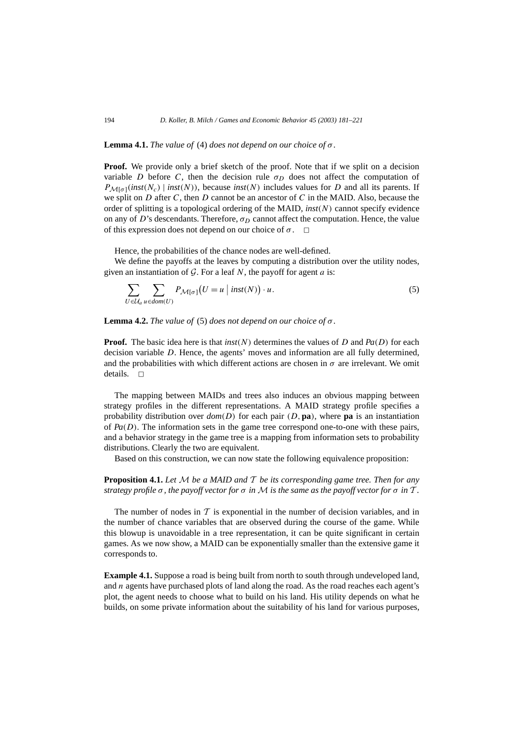#### **Lemma 4.1.** *The value of* (4) *does not depend on our choice of*  $\sigma$ *.*

**Proof.** We provide only a brief sketch of the proof. Note that if we split on a decision variable *D* before *C*, then the decision rule  $\sigma_D$  does not affect the computation of  $P_{M[\sigma]}(inst(N_c) | inst(N))$ , because *inst*(*N)* includes values for *D* and all its parents. If we split on *D* after *C*, then *D* cannot be an ancestor of *C* in the MAID. Also, because the order of splitting is a topological ordering of the MAID, *inst(N)* cannot specify evidence on any of *D*'s descendants. Therefore,  $\sigma_D$  cannot affect the computation. Hence, the value of this expression does not depend on our choice of  $\sigma$ .  $\Box$ 

Hence, the probabilities of the chance nodes are well-defined.

We define the payoffs at the leaves by computing a distribution over the utility nodes, given an instantiation of G. For a leaf *N*, the payoff for agent *a* is:

$$
\sum_{U \in \mathcal{U}_a} \sum_{u \in dom(U)} P_{\mathcal{M}[\sigma]}(U = u \mid inst(N)) \cdot u.
$$
\n(5)

**Lemma 4.2.** *The value of* (5) *does not depend on our choice of*  $\sigma$ *.* 

**Proof.** The basic idea here is that *inst(N)* determines the values of *D* and *Pa(D)* for each decision variable *D*. Hence, the agents' moves and information are all fully determined, and the probabilities with which different actions are chosen in  $\sigma$  are irrelevant. We omit details.  $\square$ 

The mapping between MAIDs and trees also induces an obvious mapping between strategy profiles in the different representations. A MAID strategy profile specifies a probability distribution over *dom(D)* for each pair *(D,***pa***)*, where **pa** is an instantiation of *Pa(D)*. The information sets in the game tree correspond one-to-one with these pairs, and a behavior strategy in the game tree is a mapping from information sets to probability distributions. Clearly the two are equivalent.

Based on this construction, we can now state the following equivalence proposition:

**Proposition 4.1.** *Let* M *be a MAID and* T *be its corresponding game tree. Then for any strategy profile*  $\sigma$ *, the payoff vector for*  $\sigma$  *in*  $M$  *is the same as the payoff vector for*  $\sigma$  *in*  $T$ *.* 

The number of nodes in  $T$  is exponential in the number of decision variables, and in the number of chance variables that are observed during the course of the game. While this blowup is unavoidable in a tree representation, it can be quite significant in certain games. As we now show, a MAID can be exponentially smaller than the extensive game it corresponds to.

**Example 4.1.** Suppose a road is being built from north to south through undeveloped land, and *n* agents have purchased plots of land along the road. As the road reaches each agent's plot, the agent needs to choose what to build on his land. His utility depends on what he builds, on some private information about the suitability of his land for various purposes,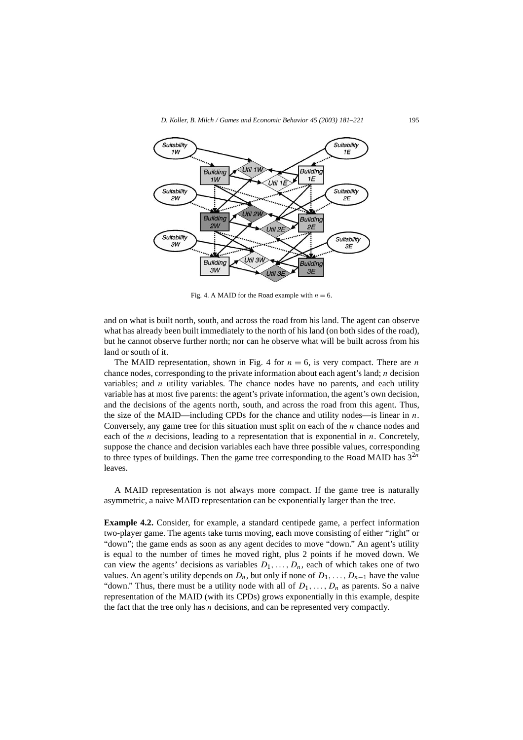

Fig. 4. A MAID for the Road example with  $n = 6$ .

and on what is built north, south, and across the road from his land. The agent can observe what has already been built immediately to the north of his land (on both sides of the road), but he cannot observe further north; nor can he observe what will be built across from his land or south of it.

The MAID representation, shown in Fig. 4 for  $n = 6$ , is very compact. There are *n* chance nodes, corresponding to the private information about each agent's land; *n* decision variables; and *n* utility variables. The chance nodes have no parents, and each utility variable has at most five parents: the agent's private information, the agent's own decision, and the decisions of the agents north, south, and across the road from this agent. Thus, the size of the MAID—including CPDs for the chance and utility nodes—is linear in *n*. Conversely, any game tree for this situation must split on each of the *n* chance nodes and each of the *n* decisions, leading to a representation that is exponential in *n*. Concretely, suppose the chance and decision variables each have three possible values, corresponding to three types of buildings. Then the game tree corresponding to the Road MAID has  $3^{2n}$ leaves.

A MAID representation is not always more compact. If the game tree is naturally asymmetric, a naive MAID representation can be exponentially larger than the tree.

**Example 4.2.** Consider, for example, a standard centipede game, a perfect information two-player game. The agents take turns moving, each move consisting of either "right" or "down"; the game ends as soon as any agent decides to move "down." An agent's utility is equal to the number of times he moved right, plus 2 points if he moved down. We can view the agents' decisions as variables  $D_1, \ldots, D_n$ , each of which takes one of two values. An agent's utility depends on  $D_n$ , but only if none of  $D_1, \ldots, D_{n-1}$  have the value "down." Thus, there must be a utility node with all of  $D_1, \ldots, D_n$  as parents. So a naive representation of the MAID (with its CPDs) grows exponentially in this example, despite the fact that the tree only has *n* decisions, and can be represented very compactly.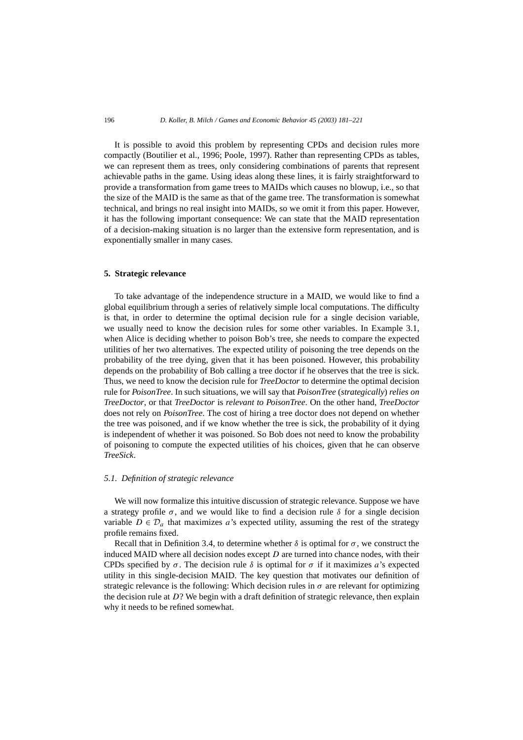It is possible to avoid this problem by representing CPDs and decision rules more compactly (Boutilier et al., 1996; Poole, 1997). Rather than representing CPDs as tables, we can represent them as trees, only considering combinations of parents that represent achievable paths in the game. Using ideas along these lines, it is fairly straightforward to provide a transformation from game trees to MAIDs which causes no blowup, i.e., so that the size of the MAID is the same as that of the game tree. The transformation is somewhat technical, and brings no real insight into MAIDs, so we omit it from this paper. However, it has the following important consequence: We can state that the MAID representation of a decision-making situation is no larger than the extensive form representation, and is exponentially smaller in many cases.

## **5. Strategic relevance**

To take advantage of the independence structure in a MAID, we would like to find a global equilibrium through a series of relatively simple local computations. The difficulty is that, in order to determine the optimal decision rule for a single decision variable, we usually need to know the decision rules for some other variables. In Example 3.1, when Alice is deciding whether to poison Bob's tree, she needs to compare the expected utilities of her two alternatives. The expected utility of poisoning the tree depends on the probability of the tree dying, given that it has been poisoned. However, this probability depends on the probability of Bob calling a tree doctor if he observes that the tree is sick. Thus, we need to know the decision rule for *TreeDoctor* to determine the optimal decision rule for *PoisonTree*. In such situations, we will say that *PoisonTree* (*strategically*) *relies on TreeDoctor*, or that *TreeDoctor* is *relevant to PoisonTree*. On the other hand, *TreeDoctor* does not rely on *PoisonTree*. The cost of hiring a tree doctor does not depend on whether the tree was poisoned, and if we know whether the tree is sick, the probability of it dying is independent of whether it was poisoned. So Bob does not need to know the probability of poisoning to compute the expected utilities of his choices, given that he can observe *TreeSick*.

# *5.1. Definition of strategic relevance*

We will now formalize this intuitive discussion of strategic relevance. Suppose we have a strategy profile  $\sigma$ , and we would like to find a decision rule  $\delta$  for a single decision variable  $D \in \mathcal{D}_a$  that maximizes *a*'s expected utility, assuming the rest of the strategy profile remains fixed.

Recall that in Definition 3.4, to determine whether  $\delta$  is optimal for  $\sigma$ , we construct the induced MAID where all decision nodes except *D* are turned into chance nodes, with their CPDs specified by  $\sigma$ . The decision rule  $\delta$  is optimal for  $\sigma$  if it maximizes *a*'s expected utility in this single-decision MAID. The key question that motivates our definition of strategic relevance is the following: Which decision rules in  $\sigma$  are relevant for optimizing the decision rule at *D*? We begin with a draft definition of strategic relevance, then explain why it needs to be refined somewhat.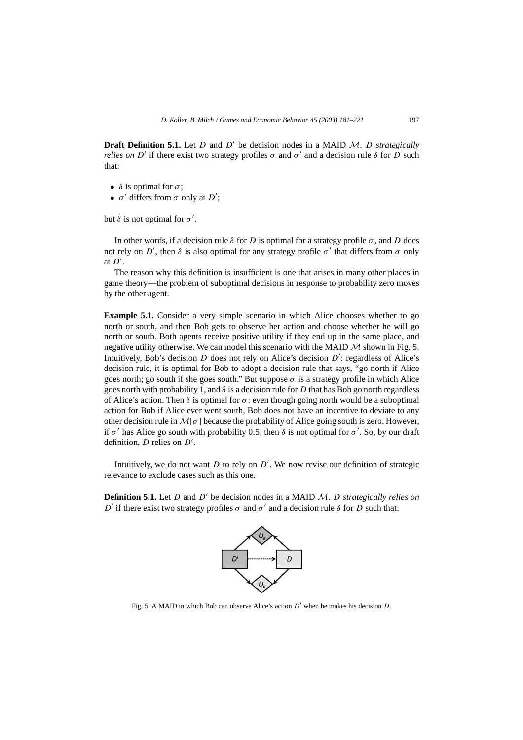**Draft Definition 5.1.** Let *D* and *D'* be decision nodes in a MAID *M. D strategically relies on D'* if there exist two strategy profiles  $\sigma$  and  $\sigma'$  and a decision rule  $\delta$  for *D* such that:

- $\bullet$  *δ* is optimal for  $\sigma$ ;
- $\sigma'$  differs from  $\sigma$  only at *D'*;

but  $\delta$  is not optimal for  $\sigma'$ .

In other words, if a decision rule *δ* for *D* is optimal for a strategy profile *σ* , and *D* does not rely on *D'*, then *δ* is also optimal for any strategy profile  $\sigma'$  that differs from *σ* only at  $D'$ .

The reason why this definition is insufficient is one that arises in many other places in game theory—the problem of suboptimal decisions in response to probability zero moves by the other agent.

**Example 5.1.** Consider a very simple scenario in which Alice chooses whether to go north or south, and then Bob gets to observe her action and choose whether he will go north or south. Both agents receive positive utility if they end up in the same place, and negative utility otherwise. We can model this scenario with the MAID  $M$  shown in Fig. 5. Intuitively, Bob's decision *D* does not rely on Alice's decision *D'*: regardless of Alice's decision rule, it is optimal for Bob to adopt a decision rule that says, "go north if Alice goes north; go south if she goes south." But suppose  $\sigma$  is a strategy profile in which Alice goes north with probability 1, and *δ* is a decision rule for *D* that has Bob go north regardless of Alice's action. Then  $\delta$  is optimal for  $\sigma$ : even though going north would be a suboptimal action for Bob if Alice ever went south, Bob does not have an incentive to deviate to any other decision rule in  $\mathcal{M}[\sigma]$  because the probability of Alice going south is zero. However, if  $\sigma'$  has Alice go south with probability 0.5, then  $\delta$  is not optimal for  $\sigma'$ . So, by our draft definition, *D* relies on *D'*.

Intuitively, we do not want  $D$  to rely on  $D'$ . We now revise our definition of strategic relevance to exclude cases such as this one.

**Definition 5.1.** Let *D* and *D'* be decision nodes in a MAID *M*. *D strategically relies on D*<sup>'</sup> if there exist two strategy profiles *σ* and *σ*<sup>'</sup> and a decision rule *δ* for *D* such that:



Fig. 5. A MAID in which Bob can observe Alice's action  $D'$  when he makes his decision  $D$ .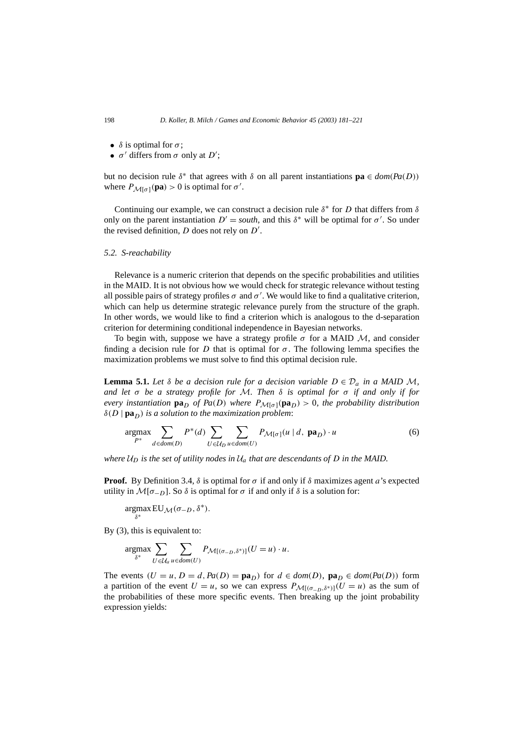- $\bullet$  *δ* is optimal for  $\sigma$ ;
- $\sigma'$  differs from  $\sigma$  only at *D'*;

but no decision rule *δ*<sup>∗</sup> that agrees with *δ* on all parent instantiations **pa** ∈ *dom(Pa(D))* where  $P_{\mathcal{M}[\sigma]}(\mathbf{pa}) > 0$  is optimal for  $\sigma'$ .

Continuing our example, we can construct a decision rule *δ*<sup>∗</sup> for *D* that differs from *δ* only on the parent instantiation  $D' = south$ , and this  $\delta^*$  will be optimal for  $\sigma'$ . So under the revised definition,  $D$  does not rely on  $D'$ .

#### *5.2. S-reachability*

Relevance is a numeric criterion that depends on the specific probabilities and utilities in the MAID. It is not obvious how we would check for strategic relevance without testing all possible pairs of strategy profiles  $\sigma$  and  $\sigma'$ . We would like to find a qualitative criterion, which can help us determine strategic relevance purely from the structure of the graph. In other words, we would like to find a criterion which is analogous to the d-separation criterion for determining conditional independence in Bayesian networks.

To begin with, suppose we have a strategy profile  $\sigma$  for a MAID  $M$ , and consider finding a decision rule for *D* that is optimal for  $\sigma$ . The following lemma specifies the maximization problems we must solve to find this optimal decision rule.

**Lemma 5.1.** Let  $\delta$  be a decision rule for a decision variable  $D \in \mathcal{D}_a$  in a MAID M, *and let σ be a strategy profile for* M*. Then δ is optimal for σ if and only if for every instantiation*  $\mathbf{pa}_D$  *of Pa(D)* where  $P_{\mathcal{M}[\sigma]}(\mathbf{pa}_D) > 0$ , the probability distribution  $\delta(D \mid \mathbf{pa}_D)$  *is a solution to the maximization problem:* 

$$
\underset{P^*}{\text{argmax}} \sum_{d \in dom(D)} P^*(d) \sum_{U \in \mathcal{U}_D} \sum_{u \in dom(U)} P_{\mathcal{M}[\sigma]}(u \mid d, \mathbf{pa}_D) \cdot u \tag{6}
$$

*where*  $U_D$  *is the set of utility nodes in*  $U_a$  *that are descendants of*  $D$  *in the MAID.* 

**Proof.** By Definition 3.4,  $\delta$  is optimal for  $\sigma$  if and only if  $\delta$  maximizes agent *a*'s expected utility in  $M[\sigma_{D}]$ . So *δ* is optimal for *σ* if and only if *δ* is a solution for:

$$
\underset{\delta^*}{\text{argmax}} \mathbf{EU}_{\mathcal{M}}(\sigma_{-D}, \delta^*).
$$

By (3), this is equivalent to:

$$
\underset{\delta^*}{\text{argmax}} \sum_{U \in \mathcal{U}_a} \sum_{u \in dom(U)} P_{\mathcal{M}[(\sigma_{-D}, \delta^*)]}(U = u) \cdot u.
$$

The events  $(U = u, D = d, Pa(D) = pa_D)$  for  $d \in dom(D), pa_D \in dom(Pa(D))$  form a partition of the event  $U = u$ , so we can express  $P_{\mathcal{M}[(\sigma_{-D},\delta^*)]}(U = u)$  as the sum of the probabilities of these more specific events. Then breaking up the joint probability expression yields: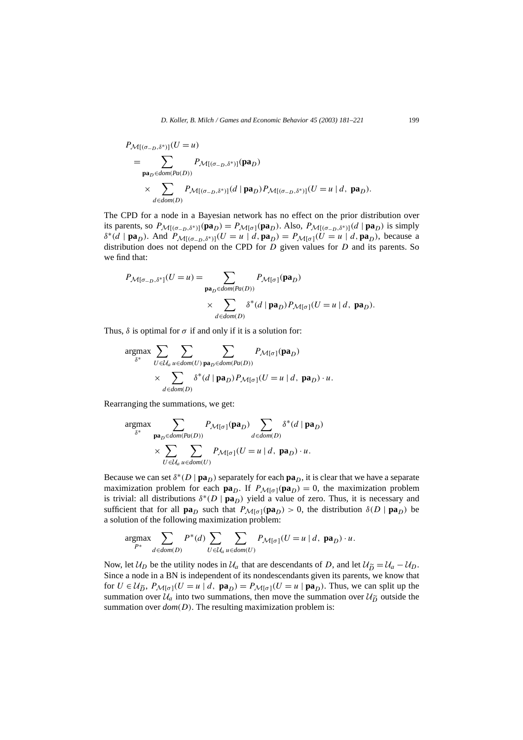$$
P_{\mathcal{M}[(\sigma_{-D},\delta^*)]}(U = u)
$$
  
= 
$$
\sum_{\mathbf{pa}_D \in dom(Pa(D))} P_{\mathcal{M}[(\sigma_{-D},\delta^*)]}(\mathbf{pa}_D)
$$
  

$$
\times \sum_{d \in dom(D)} P_{\mathcal{M}[(\sigma_{-D},\delta^*)]}(d | \mathbf{pa}_D) P_{\mathcal{M}[(\sigma_{-D},\delta^*)]}(U = u | d, \mathbf{pa}_D).
$$

The CPD for a node in a Bayesian network has no effect on the prior distribution over its parents, so  $P_{\mathcal{M}[(\sigma_{-D},\delta^*)]}(\mathbf{pa}_D) = P_{\mathcal{M}[\sigma]}(\mathbf{pa}_D)$ . Also,  $P_{\mathcal{M}[(\sigma_{-D},\delta^*)]}(d | \mathbf{pa}_D)$  is simply  $\delta^*(d | \mathbf{pa}_D)$ . And  $P_{\mathcal{M}[(\sigma_D, \delta^*)]}(U = u | d, \mathbf{pa}_D) = P_{\mathcal{M}[\sigma]}(U = u | d, \mathbf{pa}_D)$ , because a distribution does not depend on the CPD for *D* given values for *D* and its parents. So we find that:

$$
P_{\mathcal{M}[\sigma_{-D},\delta^*]}(U=u) = \sum_{\substack{\mathbf{pa}_D \in dom(Pa(D)) \\ \times \sum_{d \in dom(D)}} \delta^*(d \mid \mathbf{pa}_D) P_{\mathcal{M}[\sigma]}(U=u \mid d, \mathbf{pa}_D).
$$

Thus,  $\delta$  is optimal for  $\sigma$  if and only if it is a solution for:

$$
\underset{\delta^*}{\operatorname{argmax}} \sum_{U \in \mathcal{U}_a} \sum_{u \in dom(U)} \sum_{\mathbf{pa}_D \in dom(Pa(D))} P_{\mathcal{M}[\sigma]}(\mathbf{pa}_D) \\ \times \sum_{d \in dom(D)} \delta^*(d \mid \mathbf{pa}_D) P_{\mathcal{M}[\sigma]}(U = u \mid d, \mathbf{pa}_D) \cdot u.
$$

Rearranging the summations, we get:

$$
\underset{\delta^*}{\operatorname{argmax}} \sum_{\mathbf{pa}_D \in dom(Pa(D))} P_{\mathcal{M}[\sigma]}(\mathbf{pa}_D) \sum_{d \in dom(D)} \delta^*(d \mid \mathbf{pa}_D) \\ \times \sum_{U \in \mathcal{U}_a} \sum_{u \in dom(U)} P_{\mathcal{M}[\sigma]}(U = u \mid d, \mathbf{pa}_D) \cdot u.
$$

Because we can set  $\delta^*(D \mid \mathbf{pa}_D)$  separately for each  $\mathbf{pa}_D$ , it is clear that we have a separate maximization problem for each **pa**<sub>*D*</sub>. If  $P_{\mathcal{M}[\sigma]}(\mathbf{p}a_D) = 0$ , the maximization problem is trivial: all distributions  $\delta^*(D \mid \mathbf{pa}_D)$  yield a value of zero. Thus, it is necessary and sufficient that for all  $\mathbf{pa}_D$  such that  $P_{\mathcal{M}[\sigma]}(\mathbf{pa}_D) > 0$ , the distribution  $\delta(D \mid \mathbf{pa}_D)$  be a solution of the following maximization problem:

$$
\underset{P^*}{\text{argmax}} \sum_{d \in dom(D)} P^*(d) \sum_{U \in \mathcal{U}_a} \sum_{u \in dom(U)} P_{\mathcal{M}[\sigma]}(U = u \mid d, \mathbf{pa}_D) \cdot u.
$$

Now, let  $U_D$  be the utility nodes in  $U_a$  that are descendants of *D*, and let  $U_{\tilde{D}} = U_a - U_D$ . Since a node in a BN is independent of its nondescendants given its parents, we know that for  $U \in \mathcal{U}_{\tilde{D}}$ ,  $P_{\mathcal{M}[\sigma]}(U = u \mid d, \mathbf{pa}_D) = P_{\mathcal{M}[\sigma]}(U = u \mid \mathbf{pa}_D)$ . Thus, we can split up the summation over  $U_a$  into two summations, then move the summation over  $U_{\tilde{D}}$  outside the summation over *dom(D)*. The resulting maximization problem is: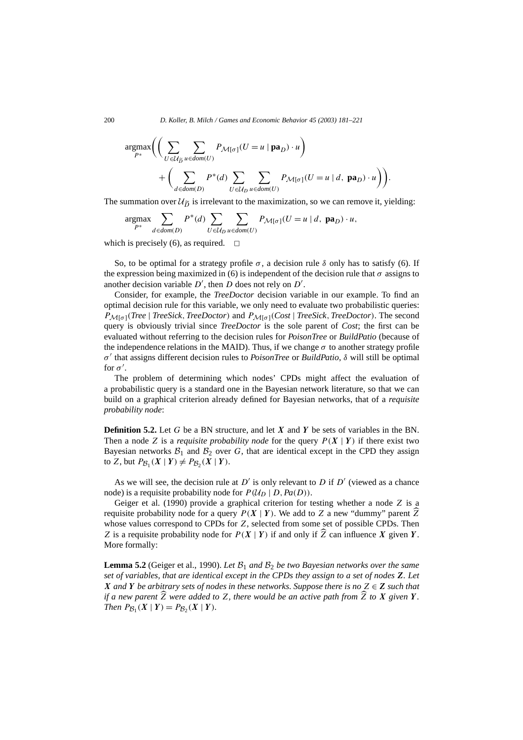$$
\underset{P^*}{\operatorname{argmax}} \bigg( \bigg( \sum_{U \in \mathcal{U}_{\widetilde{D}}} \sum_{u \in dom(U)} P_{\mathcal{M}[\sigma]}(U = u \mid \mathbf{pa}_D) \cdot u \bigg) + \bigg( \sum_{d \in dom(D)} P^*(d) \sum_{U \in \mathcal{U}_D} \sum_{u \in dom(U)} P_{\mathcal{M}[\sigma]}(U = u \mid d, \mathbf{pa}_D) \cdot u \bigg) \bigg).
$$

The summation over  $U_{\tilde{D}}$  is irrelevant to the maximization, so we can remove it, yielding:

$$
\underset{P^*}{\text{argmax}} \sum_{d \in dom(D)} P^*(d) \sum_{U \in \mathcal{U}_D} \sum_{u \in dom(U)} P_{\mathcal{M}[\sigma]}(U = u \mid d, \textbf{pa}_D) \cdot u,
$$

which is precisely (6), as required.  $\Box$ 

So, to be optimal for a strategy profile  $\sigma$ , a decision rule  $\delta$  only has to satisfy (6). If the expression being maximized in (6) is independent of the decision rule that  $\sigma$  assigns to another decision variable  $D'$ , then  $D$  does not rely on  $D'$ .

Consider, for example, the *TreeDoctor* decision variable in our example. To find an optimal decision rule for this variable, we only need to evaluate two probabilistic queries: *<sup>P</sup>*M[*σ*]*(Tree* <sup>|</sup> *TreeSick,TreeDoctor)* and *<sup>P</sup>*M[*σ*]*(Cost* <sup>|</sup> *TreeSick,TreeDoctor)*. The second query is obviously trivial since *TreeDoctor* is the sole parent of *Cost*; the first can be evaluated without referring to the decision rules for *PoisonTree* or *BuildPatio* (because of the independence relations in the MAID). Thus, if we change  $\sigma$  to another strategy profile *σ*- that assigns different decision rules to *PoisonTree* or *BuildPatio*, *δ* will still be optimal for  $\sigma'$ .

The problem of determining which nodes' CPDs might affect the evaluation of a probabilistic query is a standard one in the Bayesian network literature, so that we can build on a graphical criterion already defined for Bayesian networks, that of a *requisite probability node*:

**Definition 5.2.** Let *G* be a BN structure, and let *X* and *Y* be sets of variables in the BN. Then a node *Z* is a *requisite probability node* for the query  $P(X | Y)$  if there exist two Bayesian networks  $B_1$  and  $B_2$  over G, that are identical except in the CPD they assign to *Z*, but  $P_{\mathcal{B}_1}(X | Y) \neq P_{\mathcal{B}_2}(X | Y)$ .

As we will see, the decision rule at  $D'$  is only relevant to  $D$  if  $D'$  (viewed as a chance node) is a requisite probability node for  $P(\mathcal{U}_D | D, Pa(D))$ .

Geiger et al. (1990) provide a graphical criterion for testing whether a node *Z* is a requisite probability node for a query *P (X* | *Y)*. We add to *Z* a new "dummy" parent *Z* whose values correspond to CPDs for *Z*, selected from some set of possible CPDs. Then *Z* is a requisite probability node for  $P(X | Y)$  if and only if  $\hat{Z}$  can influence  $X$  given  $Y$ . More formally:

**Lemma 5.2** (Geiger et al., 1990). Let  $\mathcal{B}_1$  and  $\mathcal{B}_2$  be two Bayesian networks over the same *set of variables, that are identical except in the CPDs they assign to a set of nodes Z. Let X* and *Y* be arbitrary sets of nodes in these networks. Suppose there is no  $Z \in \mathbb{Z}$  such that *if a new parent Z were added to Z, there would be an active path from Z to X given Y. Then*  $P_{\mathcal{B}_1}(X | Y) = P_{\mathcal{B}_2}(X | Y)$ *.*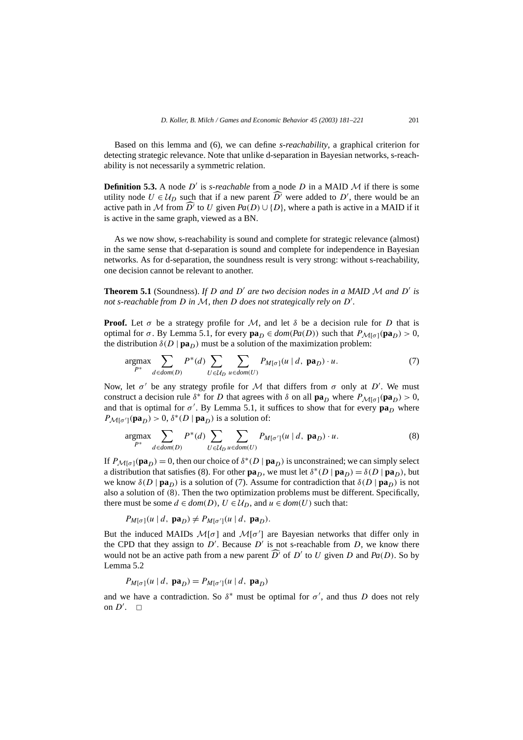Based on this lemma and (6), we can define *s-reachability*, a graphical criterion for detecting strategic relevance. Note that unlike d-separation in Bayesian networks, s-reachability is not necessarily a symmetric relation.

**Definition 5.3.** A node *D'* is *s-reachable* from a node *D* in a MAID *M* if there is some utility node  $U \in U_D$  such that if a new parent  $\widehat{D}$  were added to *D'*, there would be an active path in M from  $\widehat{D'}$  to U given  $Pa(D) \cup \{D\}$ , where a path is active in a MAID if it is active in the same graph, viewed as a BN.

As we now show, s-reachability is sound and complete for strategic relevance (almost) in the same sense that d-separation is sound and complete for independence in Bayesian networks. As for d-separation, the soundness result is very strong: without s-reachability, one decision cannot be relevant to another.

**Theorem 5.1** (Soundness). If *D* and *D'* are two decision nodes in a MAID  $\mathcal M$  and  $D'$  is *not s-reachable from <sup>D</sup> in* <sup>M</sup>*, then <sup>D</sup> does not strategically rely on <sup>D</sup>*- *.*

**Proof.** Let  $\sigma$  be a strategy profile for M, and let  $\delta$  be a decision rule for D that is optimal for  $\sigma$ . By Lemma 5.1, for every  $\mathbf{pa}_D \in dom(Pa(D))$  such that  $P_{\mathcal{M}[\sigma]}(\mathbf{pa}_D) > 0$ , the distribution  $\delta(D \mid \mathbf{pa}_D)$  must be a solution of the maximization problem:

$$
\underset{P^*}{\text{argmax}} \sum_{d \in dom(D)} P^*(d) \sum_{U \in \mathcal{U}_D} \sum_{u \in dom(U)} P_{M[\sigma]}(u \mid d, \mathbf{pa}_D) \cdot u. \tag{7}
$$

Now, let  $\sigma'$  be any strategy profile for M that differs from  $\sigma$  only at D'. We must construct a decision rule  $\delta^*$  for *D* that agrees with  $\delta$  on all  $\mathbf{pa}_D$  where  $P_{\mathcal{M}[\sigma]}(\mathbf{pa}_D) > 0$ , and that is optimal for  $\sigma'$ . By Lemma 5.1, it suffices to show that for every  $\mathbf{p}a_D$  where  $P_{\mathcal{M}[\sigma']}(\mathbf{pa}_D) > 0$ ,  $\delta^*(D | \mathbf{pa}_D)$  is a solution of:

$$
\underset{P^*}{\text{argmax}} \sum_{d \in dom(D)} P^*(d) \sum_{U \in \mathcal{U}_D} \sum_{u \in dom(U)} P_{M[\sigma']}(u \mid d, \textbf{pa}_D) \cdot u. \tag{8}
$$

If  $P_{\mathcal{M}[\sigma]}(\mathbf{pa}_D) = 0$ , then our choice of  $\delta^*(D | \mathbf{pa}_D)$  is unconstrained; we can simply select a distribution that satisfies (8). For other  $\mathbf{pa}_D$ , we must let  $\delta^*(D \mid \mathbf{pa}_D) = \delta(D \mid \mathbf{pa}_D)$ , but we know  $\delta(D \mid \mathbf{pa}_D)$  is a solution of (7). Assume for contradiction that  $\delta(D \mid \mathbf{pa}_D)$  is not also a solution of *(*8*)*. Then the two optimization problems must be different. Specifically, there must be some  $d \in dom(D)$ ,  $U \in U_D$ , and  $u \in dom(U)$  such that:

$$
P_{M[\sigma]}(u \mid d, \mathbf{pa}_D) \neq P_{M[\sigma']}(u \mid d, \mathbf{pa}_D).
$$

But the induced MAIDs  $M[\sigma]$  and  $M[\sigma']$  are Bayesian networks that differ only in the CPD that they assign to  $D'$ . Because  $D'$  is not s-reachable from  $D$ , we know there would not be an active path from a new parent  $\widehat{D'}$  of  $D'$  to  $U$  given  $D$  and  $Pa(D)$ . So by Lemma 5.2

$$
P_{M[\sigma]}(u \mid d, \mathbf{pa}_D) = P_{M[\sigma']}(u \mid d, \mathbf{pa}_D)
$$

and we have a contradiction. So  $\delta^*$  must be optimal for  $\sigma'$ , and thus *D* does not rely on  $D'$ .  $\Box$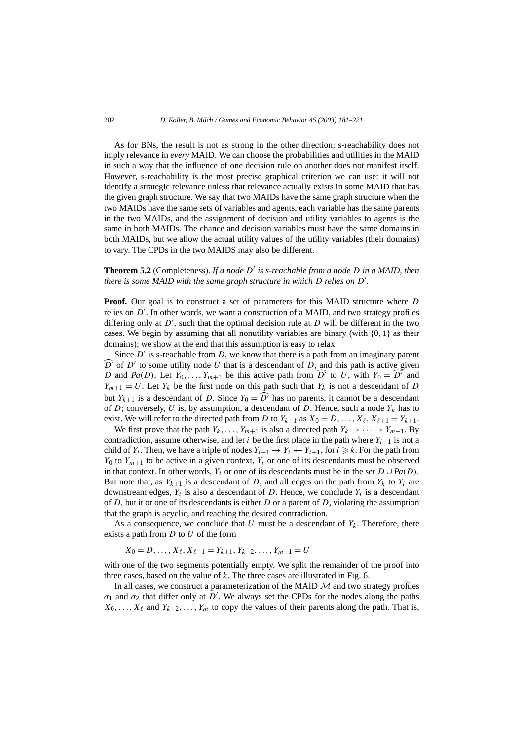#### 202 *D. Koller, B. Milch / Games and Economic Behavior 45 (2003) 181–221*

As for BNs, the result is not as strong in the other direction: s-reachability does not imply relevance in *every* MAID. We can choose the probabilities and utilities in the MAID in such a way that the influence of one decision rule on another does not manifest itself. However, s-reachability is the most precise graphical criterion we can use: it will not identify a strategic relevance unless that relevance actually exists in some MAID that has the given graph structure. We say that two MAIDs have the same graph structure when the two MAIDs have the same sets of variables and agents, each variable has the same parents in the two MAIDs, and the assignment of decision and utility variables to agents is the same in both MAIDs. The chance and decision variables must have the same domains in both MAIDs, but we allow the actual utility values of the utility variables (their domains) to vary. The CPDs in the two MAIDS may also be different.

# **Theorem 5.2** (Completeness). *If a node D*- *is s-reachable from a node D in a MAID, then there is some MAID with the same graph structure in which D relies on D*- *.*

**Proof.** Our goal is to construct a set of parameters for this MAID structure where *D* relies on D'. In other words, we want a construction of a MAID, and two strategy profiles differing only at  $D'$ , such that the optimal decision rule at  $D$  will be different in the two cases. We begin by assuming that all nonutility variables are binary (with {0*,* 1} as their domains); we show at the end that this assumption is easy to relax.

Since  $D'$  is s-reachable from  $D$ , we know that there is a path from an imaginary parent  $\widehat{D'}$  of *D'* to some utility node *U* that is a descendant of *D*, and this path is active given *D* and *Pa*(*D*). Let  $Y_0, \ldots, Y_{m+1}$  be this active path from  $\widehat{D'}$  to *U*, with  $Y_0 = \widehat{D'}$  and  $Y_{m+1} = U$ . Let  $Y_k$  be the first node on this path such that  $Y_k$  is not a descendant of *D* but  $Y_{k+1}$  is a descendant of *D*. Since  $Y_0 = \widehat{D}$  has no parents, it cannot be a descendant of *D*; conversely, *U* is, by assumption, a descendant of *D*. Hence, such a node  $Y_k$  has to exist. We will refer to the directed path from *D* to  $Y_{k+1}$  as  $X_0 = D, \ldots, X_\ell, X_{\ell+1} = Y_{k+1}$ .

We first prove that the path  $Y_k, \ldots, Y_{m+1}$  is also a directed path  $Y_k \to \cdots \to Y_{m+1}$ . By contradiction, assume otherwise, and let  $i$  be the first place in the path where  $Y_{i+1}$  is not a child of *Y<sub>i</sub>*. Then, we have a triple of nodes  $Y_{i-1}$  →  $Y_i$  ←  $Y_{i+1}$ , for  $i \ge k$ . For the path from  $Y_0$  to  $Y_{m+1}$  to be active in a given context,  $Y_i$  or one of its descendants must be observed in that context. In other words,  $Y_i$  or one of its descendants must be in the set  $D \cup Pa(D)$ . But note that, as  $Y_{k+1}$  is a descendant of *D*, and all edges on the path from  $Y_k$  to  $Y_i$  are downstream edges,  $Y_i$  is also a descendant of *D*. Hence, we conclude  $Y_i$  is a descendant of *D*, but it or one of its descendants is either *D* or a parent of *D*, violating the assumption that the graph is acyclic, and reaching the desired contradiction.

As a consequence, we conclude that  $U$  must be a descendant of  $Y_k$ . Therefore, there exists a path from *D* to *U* of the form

$$
X_0 = D, \ldots, X_{\ell}, X_{\ell+1} = Y_{k+1}, Y_{k+2}, \ldots, Y_{m+1} = U
$$

with one of the two segments potentially empty. We split the remainder of the proof into three cases, based on the value of *k*. The three cases are illustrated in Fig. 6.

In all cases, we construct a parameterization of the MAID  $M$  and two strategy profiles  $\sigma_1$  and  $\sigma_2$  that differ only at *D'*. We always set the CPDs for the nodes along the paths  $X_0, \ldots, X_\ell$  and  $Y_{k+2}, \ldots, Y_m$  to copy the values of their parents along the path. That is,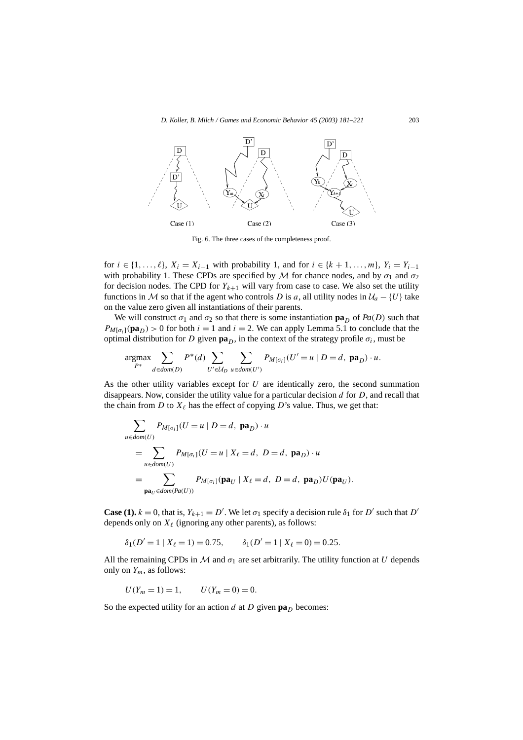

Fig. 6. The three cases of the completeness proof.

for *i* ∈ {1,...,  $\ell$ },  $X_i = X_{i-1}$  with probability 1, and for  $i \in \{k+1, ..., m\}$ ,  $Y_i = Y_{i-1}$ with probability 1. These CPDs are specified by  $M$  for chance nodes, and by  $\sigma_1$  and  $\sigma_2$ for decision nodes. The CPD for  $Y_{k+1}$  will vary from case to case. We also set the utility functions in M so that if the agent who controls *D* is *a*, all utility nodes in  $U_a - \{U\}$  take on the value zero given all instantiations of their parents.

We will construct  $\sigma_1$  and  $\sigma_2$  so that there is some instantiation  $\mathbf{pa}_D$  of  $Pa(D)$  such that  $P_{M[\sigma_i]}(\mathbf{pa}_D) > 0$  for both  $i = 1$  and  $i = 2$ . We can apply Lemma 5.1 to conclude that the optimal distribution for *D* given  $\mathbf{pa}_D$ , in the context of the strategy profile  $\sigma_i$ , must be

$$
\underset{P^*}{\text{argmax}} \sum_{d \in dom(D)} P^*(d) \sum_{U' \in \mathcal{U}_D} \sum_{u \in dom(U')} P_{M[\sigma_i]}(U' = u \mid D = d, \textbf{ pa}_D) \cdot u.
$$

As the other utility variables except for *U* are identically zero, the second summation disappears. Now, consider the utility value for a particular decision *d* for *D*, and recall that the chain from *D* to  $X_\ell$  has the effect of copying *D*'s value. Thus, we get that:

$$
\sum_{u \in dom(U)} P_{M[\sigma_i]}(U = u \mid D = d, \mathbf{pa}_D) \cdot u
$$
\n
$$
= \sum_{u \in dom(U)} P_{M[\sigma_i]}(U = u \mid X_\ell = d, D = d, \mathbf{pa}_D) \cdot u
$$
\n
$$
= \sum_{\mathbf{pa}_U \in dom(Pa(U))} P_{M[\sigma_i]}(\mathbf{pa}_U \mid X_\ell = d, D = d, \mathbf{pa}_D)U(\mathbf{pa}_U).
$$

**Case (1).**  $k = 0$ , that is,  $Y_{k+1} = D'$ . We let  $\sigma_1$  specify a decision rule  $\delta_1$  for  $D'$  such that  $D'$ depends only on  $X_{\ell}$  (ignoring any other parents), as follows:

$$
\delta_1(D'=1 | X_\ell = 1) = 0.75,
$$
  $\delta_1(D'=1 | X_\ell = 0) = 0.25.$ 

All the remaining CPDs in  $M$  and  $\sigma_1$  are set arbitrarily. The utility function at  $U$  depends only on *Ym*, as follows:

$$
U(Y_m = 1) = 1,
$$
  $U(Y_m = 0) = 0.$ 

So the expected utility for an action  $d$  at  $D$  given  $\mathbf{pa}_D$  becomes: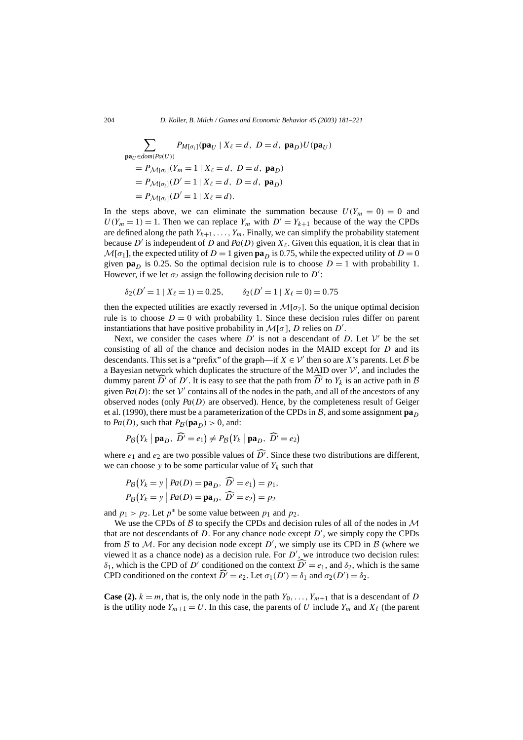$$
\sum_{\mathbf{pa}_U \in dom(Pa(U))} P_{M[\sigma_i]}(\mathbf{pa}_U | X_\ell = d, D = d, \mathbf{pa}_D)U(\mathbf{pa}_U)
$$
  
=  $P_{\mathcal{M}[\sigma_i]}(Y_m = 1 | X_\ell = d, D = d, \mathbf{pa}_D)$   
=  $P_{\mathcal{M}[\sigma_i]}(D' = 1 | X_\ell = d, D = d, \mathbf{pa}_D)$   
=  $P_{\mathcal{M}[\sigma_i]}(D' = 1 | X_\ell = d).$ 

In the steps above, we can eliminate the summation because  $U(Y_m = 0) = 0$  and  $U(Y_m = 1) = 1$ . Then we can replace  $Y_m$  with  $D' = Y_{k+1}$  because of the way the CPDs are defined along the path  $Y_{k+1}, \ldots, Y_m$ . Finally, we can simplify the probability statement because *D'* is independent of *D* and *Pa*(*D*) given  $X_{\ell}$ . Given this equation, it is clear that in  $\mathcal{M}[\sigma_1]$ , the expected utility of  $D = 1$  given **pa**<sub>*D*</sub> is 0.75, while the expected utility of  $D = 0$ given **pa**<sub>*D*</sub> is 0.25. So the optimal decision rule is to choose  $D = 1$  with probability 1. However, if we let  $\sigma_2$  assign the following decision rule to  $D'$ :

$$
\delta_2(D'=1 | X_\ell = 1) = 0.25
$$
,  $\delta_2(D'=1 | X_\ell = 0) = 0.75$ 

then the expected utilities are exactly reversed in  $\mathcal{M}[\sigma_2]$ . So the unique optimal decision rule is to choose  $D = 0$  with probability 1. Since these decision rules differ on parent instantiations that have positive probability in  $M[\sigma]$ , *D* relies on *D'*.

Next, we consider the cases where  $D'$  is not a descendant of *D*. Let  $V'$  be the set consisting of all of the chance and decision nodes in the MAID except for *D* and its descendants. This set is a "prefix" of the graph—if  $X \in \mathcal{V}'$  then so are *X*'s parents. Let *B* be a Bayesian network which duplicates the structure of the MAID over  $V'$ , and includes the dummy parent  $\widehat{D}$ <sup>*'*</sup> of *D'*. It is easy to see that the path from  $\widehat{D}$ <sup>*'*</sup> to *Y<sub>k</sub>* is an active path in *B* given  $Pa(D)$ : the set  $V'$  contains all of the nodes in the path, and all of the ancestors of any observed nodes (only *Pa(D)* are observed). Hence, by the completeness result of Geiger et al. (1990), there must be a parameterization of the CPDs in  $\mathcal{B}$ , and some assignment **pa**<sub>*D*</sub> to *Pa*(*D*), such that  $P_B$ (**pa**<sub>*D*</sub>) > 0, and:

$$
P_{\mathcal{B}}(Y_k | \mathbf{pa}_D, \widehat{D'} = e_1) \neq P_{\mathcal{B}}(Y_k | \mathbf{pa}_D, \widehat{D'} = e_2)
$$

where  $e_1$  and  $e_2$  are two possible values of  $\widehat{D}'$ . Since these two distributions are different, we can choose *y* to be some particular value of  $Y_k$  such that

$$
P_{\mathcal{B}}(Y_k = y \mid Pa(D) = \mathbf{pa}_D, \ \widehat{D'} = e_1) = p_1,
$$
  

$$
P_{\mathcal{B}}(Y_k = y \mid Pa(D) = \mathbf{pa}_D, \ \widehat{D'} = e_2) = p_2
$$

and  $p_1 > p_2$ . Let  $p^*$  be some value between  $p_1$  and  $p_2$ .

We use the CPDs of  $\beta$  to specify the CPDs and decision rules of all of the nodes in  $\mathcal M$ that are not descendants of  $D$ . For any chance node except  $D'$ , we simply copy the CPDs from B to M. For any decision node except  $D'$ , we simply use its CPD in B (where we viewed it as a chance node) as a decision rule. For  $D'$ , we introduce two decision rules: *δ*<sub>1</sub>, which is the CPD of *D'* conditioned on the context  $\widehat{D'} = e_1$ , and *δ*<sub>2</sub>, which is the same CPD conditioned on the context  $\widehat{D'} = e_2$ . Let  $\sigma_1(D') = \delta_1$  and  $\sigma_2(D') = \delta_2$ .

**Case (2).**  $k = m$ , that is, the only node in the path  $Y_0, \ldots, Y_{m+1}$  that is a descendant of *D* is the utility node  $Y_{m+1} = U$ . In this case, the parents of *U* include  $Y_m$  and  $X_\ell$  (the parent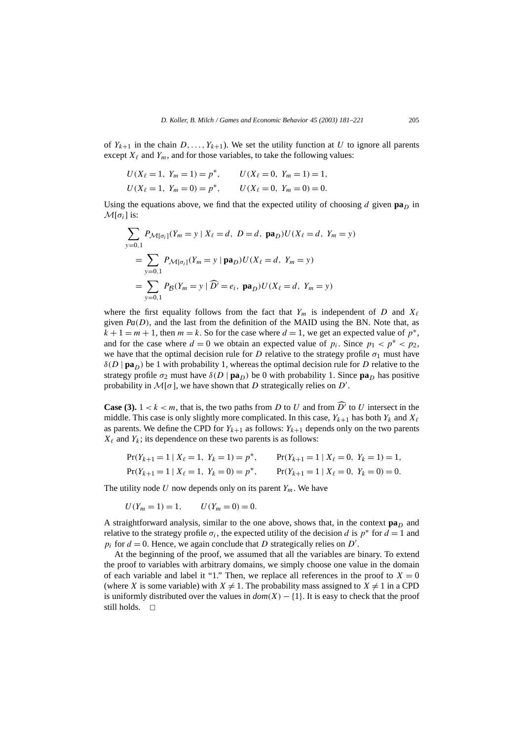of  $Y_{k+1}$  in the chain  $D, \ldots, Y_{k+1}$ ). We set the utility function at U to ignore all parents except  $X_\ell$  and  $Y_m$ , and for those variables, to take the following values:

$$
U(X_{\ell} = 1, Y_m = 1) = p^*, \qquad U(X_{\ell} = 0, Y_m = 1) = 1,
$$
  

$$
U(X_{\ell} = 1, Y_m = 0) = p^*, \qquad U(X_{\ell} = 0, Y_m = 0) = 0.
$$

Using the equations above, we find that the expected utility of choosing *d* given  $\mathbf{p}a_D$  in  $\mathcal{M}[\sigma_i]$  is:

$$
\sum_{y=0,1} P_{\mathcal{M}[\sigma_i]}(Y_m = y \mid X_\ell = d, \ D = d, \ \mathbf{pa}_D)U(X_\ell = d, \ Y_m = y)
$$
  
= 
$$
\sum_{y=0,1} P_{\mathcal{M}[\sigma_i]}(Y_m = y \mid \mathbf{pa}_D)U(X_\ell = d, \ Y_m = y)
$$
  
= 
$$
\sum_{y=0,1} P_{\mathcal{B}}(Y_m = y \mid \widehat{D'} = e_i, \ \mathbf{pa}_D)U(X_\ell = d, \ Y_m = y)
$$
  
= 
$$
\sum_{y=0,1} P_{\mathcal{B}}(Y_m = y \mid \widehat{D'} = e_i, \ \mathbf{pa}_D)U(X_\ell = d, \ Y_m = y)
$$

where the first equality follows from the fact that  $Y_m$  is independent of *D* and  $X_\ell$ given  $Pa(D)$ , and the last from the definition of the MAID using the BN. Note that, as  $k + 1 = m + 1$ , then  $m = k$ . So for the case where  $d = 1$ , we get an expected value of  $p^*$ , and for the case where  $d = 0$  we obtain an expected value of  $p_i$ . Since  $p_1 < p^* < p_2$ , we have that the optimal decision rule for *D* relative to the strategy profile  $\sigma_1$  must have  $\delta(D \mid \mathbf{pa}_D)$  be 1 with probability 1, whereas the optimal decision rule for *D* relative to the strategy profile  $\sigma_2$  must have  $\delta(D | \mathbf{pa}_D)$  be 0 with probability 1. Since  $\mathbf{pa}_D$  has positive probability in  $\mathcal{M}[\sigma]$ , we have shown that *D* strategically relies on *D'*.

**Case (3).**  $1 < k < m$ , that is, the two paths from *D* to *U* and from  $\widehat{D'}$  to *U* intersect in the middle. This case is only slightly more complicated. In this case,  $Y_{k+1}$  has both  $Y_k$  and  $X_\ell$ as parents. We define the CPD for  $Y_{k+1}$  as follows:  $Y_{k+1}$  depends only on the two parents  $X_{\ell}$  and  $Y_k$ ; its dependence on these two parents is as follows:

$$
\Pr(Y_{k+1} = 1 \mid X_{\ell} = 1, Y_k = 1) = p^*, \qquad \Pr(Y_{k+1} = 1 \mid X_{\ell} = 0, Y_k = 1) = 1,
$$
  

$$
\Pr(Y_{k+1} = 1 \mid X_{\ell} = 1, Y_k = 0) = p^*, \qquad \Pr(Y_{k+1} = 1 \mid X_{\ell} = 0, Y_k = 0) = 0.
$$

The utility node  $U$  now depends only on its parent  $Y_m$ . We have

$$
U(Y_m = 1) = 1,
$$
  $U(Y_m = 0) = 0.$ 

A straightforward analysis, similar to the one above, shows that, in the context  $\mathbf{p} \mathbf{a}_D$  and relative to the strategy profile  $\sigma_i$ , the expected utility of the decision *d* is  $p^*$  for  $d = 1$  and  $p_i$  for  $d = 0$ . Hence, we again conclude that *D* strategically relies on *D'*.

At the beginning of the proof, we assumed that all the variables are binary. To extend the proof to variables with arbitrary domains, we simply choose one value in the domain of each variable and label it "1." Then, we replace all references in the proof to  $X = 0$ (where *X* is some variable) with  $X \neq 1$ . The probability mass assigned to  $X \neq 1$  in a CPD is uniformly distributed over the values in  $dom(X) - \{1\}$ . It is easy to check that the proof still holds.  $\square$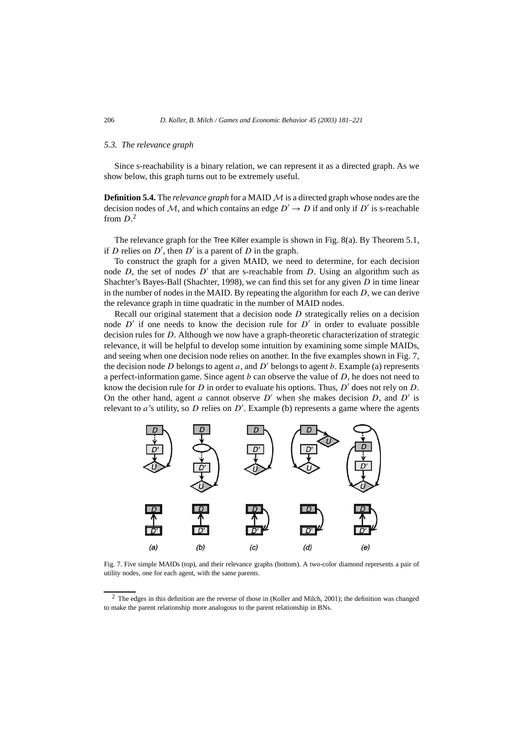#### *5.3. The relevance graph*

Since s-reachability is a binary relation, we can represent it as a directed graph. As we show below, this graph turns out to be extremely useful.

**Definition 5.4.** The *relevance graph* for a MAID  $M$  is a directed graph whose nodes are the decision nodes of M, and which contains an edge  $D' \rightarrow D$  if and only if  $D'$  is s-reachable from *D*. 2

The relevance graph for the Tree Killer example is shown in Fig. 8(a). By Theorem 5.1, if *D* relies on  $D'$ , then  $D'$  is a parent of *D* in the graph.

To construct the graph for a given MAID, we need to determine, for each decision node *D*, the set of nodes  $D'$  that are s-reachable from *D*. Using an algorithm such as Shachter's Bayes-Ball (Shachter, 1998), we can find this set for any given *D* in time linear in the number of nodes in the MAID. By repeating the algorithm for each *D*, we can derive the relevance graph in time quadratic in the number of MAID nodes.

Recall our original statement that a decision node *D* strategically relies on a decision node  $D'$  if one needs to know the decision rule for  $D'$  in order to evaluate possible decision rules for *D*. Although we now have a graph-theoretic characterization of strategic relevance, it will be helpful to develop some intuition by examining some simple MAIDs, and seeing when one decision node relies on another. In the five examples shown in Fig. 7, the decision node  $D$  belongs to agent  $a$ , and  $D'$  belongs to agent  $b$ . Example (a) represents a perfect-information game. Since agent *b* can observe the value of *D*, he does not need to know the decision rule for  $D$  in order to evaluate his options. Thus,  $D'$  does not rely on  $D$ . On the other hand, agent *a* cannot observe  $D'$  when she makes decision  $D$ , and  $D'$  is relevant to  $a$ 's utility, so  $D$  relies on  $D'$ . Example (b) represents a game where the agents



Fig. 7. Five simple MAIDs (top), and their relevance graphs (bottom). A two-color diamond represents a pair of utility nodes, one for each agent, with the same parents.

<sup>&</sup>lt;sup>2</sup> The edges in this definition are the reverse of those in (Koller and Milch, 2001); the definition was changed to make the parent relationship more analogous to the parent relationship in BNs.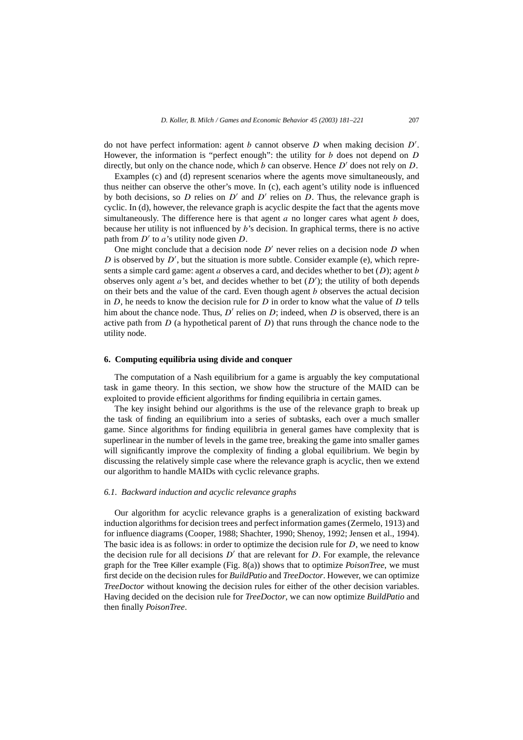do not have perfect information: agent  $b$  cannot observe  $D$  when making decision  $D'$ . However, the information is "perfect enough": the utility for *b* does not depend on *D* directly, but only on the chance node, which *b* can observe. Hence *D'* does not rely on *D*.

Examples (c) and (d) represent scenarios where the agents move simultaneously, and thus neither can observe the other's move. In (c), each agent's utility node is influenced by both decisions, so  $D$  relies on  $D'$  and  $D'$  relies on  $D$ . Thus, the relevance graph is cyclic. In (d), however, the relevance graph is acyclic despite the fact that the agents move simultaneously. The difference here is that agent *a* no longer cares what agent *b* does, because her utility is not influenced by *b*'s decision. In graphical terms, there is no active path from  $D'$  to  $a$ 's utility node given  $D$ .

One might conclude that a decision node *D'* never relies on a decision node *D* when  $D$  is observed by  $D'$ , but the situation is more subtle. Consider example (e), which represents a simple card game: agent *a* observes a card, and decides whether to bet (*D*); agent *b* observes only agent  $a$ 's bet, and decides whether to bet  $(D')$ ; the utility of both depends on their bets and the value of the card. Even though agent *b* observes the actual decision in *D*, he needs to know the decision rule for *D* in order to know what the value of *D* tells him about the chance node. Thus,  $D'$  relies on  $D$ ; indeed, when  $D$  is observed, there is an active path from *D* (a hypothetical parent of *D*) that runs through the chance node to the utility node.

# **6. Computing equilibria using divide and conquer**

The computation of a Nash equilibrium for a game is arguably the key computational task in game theory. In this section, we show how the structure of the MAID can be exploited to provide efficient algorithms for finding equilibria in certain games.

The key insight behind our algorithms is the use of the relevance graph to break up the task of finding an equilibrium into a series of subtasks, each over a much smaller game. Since algorithms for finding equilibria in general games have complexity that is superlinear in the number of levels in the game tree, breaking the game into smaller games will significantly improve the complexity of finding a global equilibrium. We begin by discussing the relatively simple case where the relevance graph is acyclic, then we extend our algorithm to handle MAIDs with cyclic relevance graphs.

#### *6.1. Backward induction and acyclic relevance graphs*

Our algorithm for acyclic relevance graphs is a generalization of existing backward induction algorithms for decision trees and perfect information games (Zermelo, 1913) and for influence diagrams (Cooper, 1988; Shachter, 1990; Shenoy, 1992; Jensen et al., 1994). The basic idea is as follows: in order to optimize the decision rule for *D*, we need to know the decision rule for all decisions  $D'$  that are relevant for  $D$ . For example, the relevance graph for the Tree Killer example (Fig. 8(a)) shows that to optimize *PoisonTree*, we must first decide on the decision rules for *BuildPatio* and *TreeDoctor*. However, we can optimize *TreeDoctor* without knowing the decision rules for either of the other decision variables. Having decided on the decision rule for *TreeDoctor*, we can now optimize *BuildPatio* and then finally *PoisonTree*.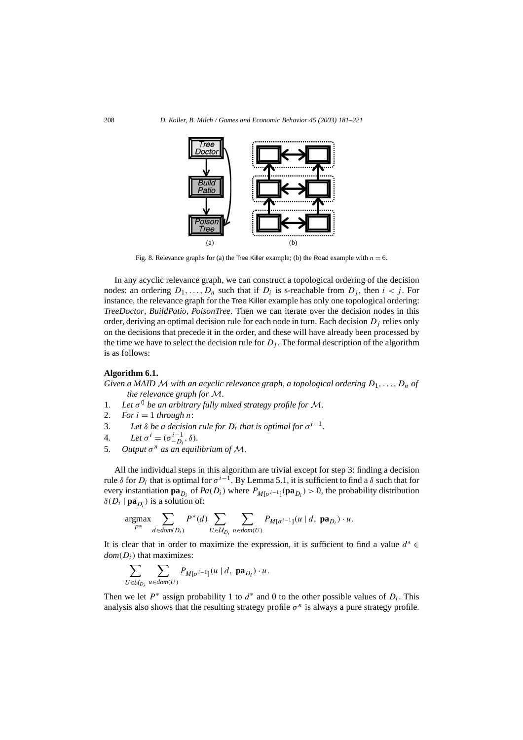

Fig. 8. Relevance graphs for (a) the Tree Killer example; (b) the Road example with  $n = 6$ .

In any acyclic relevance graph, we can construct a topological ordering of the decision nodes: an ordering  $D_1, \ldots, D_n$  such that if  $D_i$  is s-reachable from  $D_i$ , then  $i < j$ . For instance, the relevance graph for the Tree Killer example has only one topological ordering: *TreeDoctor*, *BuildPatio*, *PoisonTree*. Then we can iterate over the decision nodes in this order, deriving an optimal decision rule for each node in turn. Each decision  $D_i$  relies only on the decisions that precede it in the order, and these will have already been processed by the time we have to select the decision rule for  $D_i$ . The formal description of the algorithm is as follows:

# **Algorithm 6.1.**

*Given a MAID M with an acyclic relevance graph, a topological ordering*  $D_1, \ldots, D_n$  *of the relevance graph for* M*.*

- 1. Let  $\sigma^0$  *be an arbitrary fully mixed strategy profile for* M.<br>2. For  $i = 1$  through n.
- $For i = 1 through n:$
- 3. *Let*  $\delta$  *be a decision rule for*  $D_i$  *that is optimal for*  $\sigma^{i-1}$ *.*
- 4*. Let*  $\sigma^{i} = (\sigma_{-D_i}^{i-1}, \delta)$ *.*
- 5. *Output*  $\sigma^n$  *as an equilibrium of*  $M$ .

All the individual steps in this algorithm are trivial except for step 3: finding a decision rule *δ* for *D<sub>i</sub>* that is optimal for  $\sigma^{i-1}$ . By Lemma 5.1, it is sufficient to find a *δ* such that for every instantiation  $\mathbf{pa}_{D_i}$  of  $Pa(D_i)$  where  $P_{M[\sigma^{i-1}]}(\mathbf{pa}_{D_i}) > 0$ , the probability distribution  $\delta(D_i | \mathbf{pa}_{D_i})$  is a solution of:

$$
\operatornamewithlimits{argmax}_{P^*} \sum_{d \in dom(D_i)} P^*(d) \sum_{U \in \mathcal{U}_{D_i}} \sum_{u \in dom(U)} P_{M[\sigma^{i-1}]}(u \mid d, \textbf{ pa}_{D_i}) \cdot u.
$$

It is clear that in order to maximize the expression, it is sufficient to find a value  $d^* \in$  $dom(D_i)$  that maximizes:

$$
\sum_{U \in \mathcal{U}_{D_i}} \sum_{u \in dom(U)} P_{M[\sigma^{i-1}]}(u \mid d, \mathbf{pa}_{D_i}) \cdot u.
$$

Then we let  $P^*$  assign probability 1 to  $d^*$  and 0 to the other possible values of  $D_i$ . This analysis also shows that the resulting strategy profile  $\sigma^n$  is always a pure strategy profile.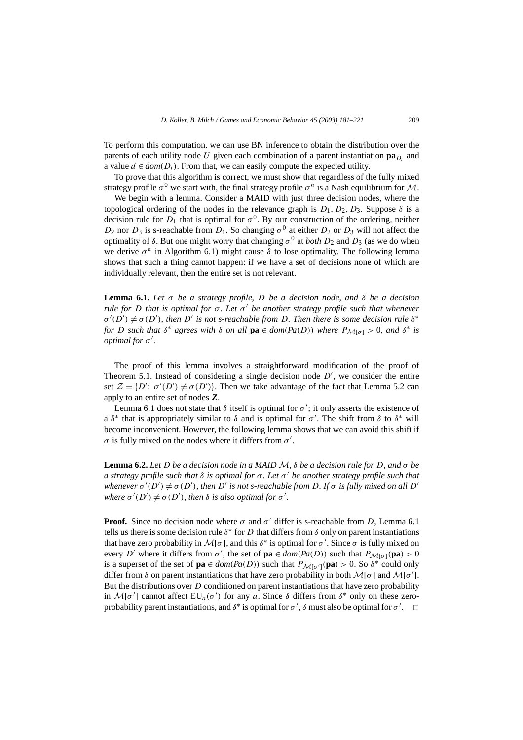To perform this computation, we can use BN inference to obtain the distribution over the parents of each utility node U given each combination of a parent instantiation  $\mathbf{p} \mathbf{a}_D$  and a value  $d \in dom(D_i)$ . From that, we can easily compute the expected utility.

To prove that this algorithm is correct, we must show that regardless of the fully mixed strategy profile  $\sigma^0$  we start with, the final strategy profile  $\sigma^n$  is a Nash equilibrium for M.

We begin with a lemma. Consider a MAID with just three decision nodes, where the topological ordering of the nodes in the relevance graph is  $D_1$ ,  $D_2$ ,  $D_3$ . Suppose  $\delta$  is a decision rule for  $D_1$  that is optimal for  $\sigma^0$ . By our construction of the ordering, neither *D*<sub>2</sub> nor *D*<sub>3</sub> is s-reachable from *D*<sub>1</sub>. So changing  $\sigma$ <sup>0</sup> at either *D*<sub>2</sub> or *D*<sub>3</sub> will not affect the optimality of *δ*. But one might worry that changing  $σ<sup>0</sup>$  at *both*  $D_2$  and  $D_3$  (as we do when we derive  $\sigma^n$  in Algorithm 6.1) might cause  $\delta$  to lose optimality. The following lemma shows that such a thing cannot happen: if we have a set of decisions none of which are individually relevant, then the entire set is not relevant.

**Lemma 6.1.** *Let σ be a strategy profile, D be a decision node, and δ be a decision rule for D that is optimal for σ . Let σ*- *be another strategy profile such that whenever*  $\sigma'(D') \neq \sigma(D')$ , then D' is not s-reachable from D. Then there is some decision rule  $\delta^*$ *for D* such that  $\delta^*$  agrees with  $\delta$  *on all*  $\mathbf{pa} \in dom(Pa(D))$  where  $P_{\mathcal{M}[\sigma]} > 0$ , and  $\delta^*$  is *optimal for*  $σ'$ .

The proof of this lemma involves a straightforward modification of the proof of Theorem 5.1. Instead of considering a single decision node  $D'$ , we consider the entire set  $\mathcal{Z} = \{D' : \sigma'(D') \neq \sigma(D')\}$ . Then we take advantage of the fact that Lemma 5.2 can apply to an entire set of nodes *Z*.

Lemma 6.1 does not state that  $\delta$  itself is optimal for  $\sigma'$ ; it only asserts the existence of a  $\delta^*$  that is appropriately similar to  $\delta$  and is optimal for  $\sigma'$ . The shift from  $\delta$  to  $\delta^*$  will become inconvenient. However, the following lemma shows that we can avoid this shift if  $\sigma$  is fully mixed on the nodes where it differs from  $\sigma'$ .

**Lemma 6.2.** *Let D be a decision node in a MAID*  $M$ *,*  $\delta$  *<i>be a decision rule for D, and σ be a strategy profile such that δ is optimal for σ . Let σ*- *be another strategy profile such that*  $w$ henever  $\sigma'(D') \neq \sigma(D')$ , then  $D'$  is not s-reachable from  $D$ . If  $\sigma$  is fully mixed on all  $D'$ *where*  $\sigma'(D') \neq \sigma(D')$ , then  $\delta$  *is also optimal for*  $\sigma'$ .

**Proof.** Since no decision node where  $\sigma$  and  $\sigma'$  differ is s-reachable from *D*, Lemma 6.1 tells us there is some decision rule  $\delta^*$  for *D* that differs from  $\delta$  only on parent instantiations that have zero probability in  $M[\sigma]$ , and this  $\delta^*$  is optimal for  $\sigma'$ . Since  $\sigma$  is fully mixed on every *D'* where it differs from  $\sigma'$ , the set of  $\mathbf{pa} \in dom(Pa(D))$  such that  $P_{\mathcal{M}[\sigma]}(\mathbf{pa}) > 0$ is a superset of the set of  $\mathbf{pa} \in dom(Pa(D))$  such that  $P_{\mathcal{M}[\sigma']}(\mathbf{pa}) > 0$ . So  $\delta^*$  could only differ from  $\delta$  on parent instantiations that have zero probability in both  $M[\sigma]$  and  $M[\sigma']$ . But the distributions over *D* conditioned on parent instantiations that have zero probability in  $M[\sigma']$  cannot affect  $EU_a(\sigma')$  for any *a*. Since  $\delta$  differs from  $\delta^*$  only on these zeroprobability parent instantiations, and  $\delta^*$  is optimal for  $\sigma'$ ,  $\delta$  must also be optimal for  $\sigma'$ .  $\Box$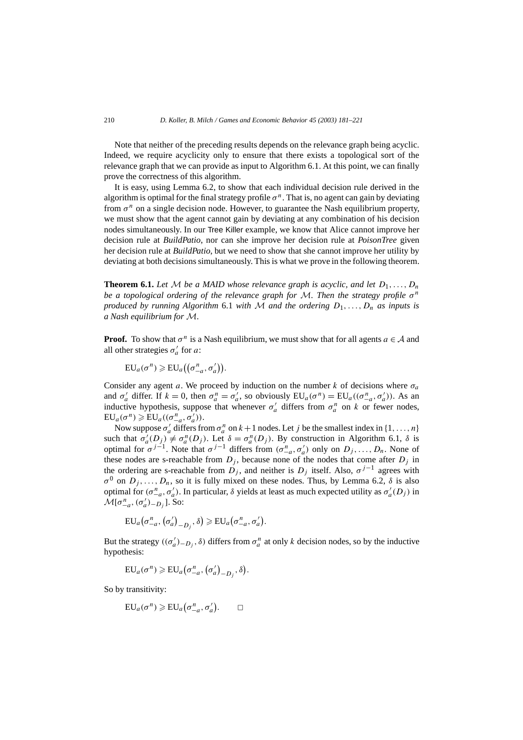Note that neither of the preceding results depends on the relevance graph being acyclic. Indeed, we require acyclicity only to ensure that there exists a topological sort of the relevance graph that we can provide as input to Algorithm 6.1. At this point, we can finally prove the correctness of this algorithm.

It is easy, using Lemma 6.2, to show that each individual decision rule derived in the algorithm is optimal for the final strategy profile  $\sigma^n$ . That is, no agent can gain by deviating from  $\sigma^n$  on a single decision node. However, to guarantee the Nash equilibrium property, we must show that the agent cannot gain by deviating at any combination of his decision nodes simultaneously. In our Tree Killer example, we know that Alice cannot improve her decision rule at *BuildPatio*, nor can she improve her decision rule at *PoisonTree* given her decision rule at *BuildPatio*, but we need to show that she cannot improve her utility by deviating at both decisions simultaneously. This is what we prove in the following theorem.

**Theorem 6.1.** Let M be a MAID whose relevance graph is acyclic, and let  $D_1, \ldots, D_n$ *be a topological ordering of the relevance graph for* <sup>M</sup>*. Then the strategy profile <sup>σ</sup> <sup>n</sup> produced by running Algorithm* 6.1 *with* M *and the ordering*  $D_1, \ldots, D_n$  *as inputs is a Nash equilibrium for* M*.*

**Proof.** To show that  $\sigma^n$  is a Nash equilibrium, we must show that for all agents  $a \in A$  and all other strategies  $\sigma'_a$  for *a*:

 $EU_a(\sigma^n) \geq EU_a((\sigma^n_{-a}, \sigma'_a)).$ 

Consider any agent *a*. We proceed by induction on the number *k* of decisions where  $\sigma_a$ and  $\sigma'_a$  differ. If  $k = 0$ , then  $\sigma_a^n = \sigma'_a$ , so obviously  $EU_a(\sigma^n) = EU_a((\sigma^n_{-a}, \sigma'_a))$ . As an inductive hypothesis, suppose that whenever  $\sigma'_a$  differs from  $\sigma^n_a$  on *k* or fewer nodes,  $EU_a(\sigma^n) \geq EU_a((\sigma^n_{-a}, \sigma'_a)).$ 

Now suppose  $\sigma'_a$  differs from  $\sigma^n_a$  on  $k+1$  nodes. Let *j* be the smallest index in  $\{1,\ldots,n\}$ such that  $\sigma'_a(D_j) \neq \sigma_a^n(D_j)$ . Let  $\delta = \sigma_a^n(D_j)$ . By construction in Algorithm 6.1,  $\delta$  is optimal for  $\sigma^{j-1}$ . Note that  $\sigma^{j-1}$  differs from  $(\sigma^n_{-a}, \sigma'_a)$  only on  $D_j, \ldots, D_n$ . None of these nodes are s-reachable from  $D_j$ , because none of the nodes that come after  $D_j$  in the ordering are s-reachable from  $D_j$ , and neither is  $D_j$  itself. Also,  $\sigma^{j-1}$  agrees with  $\sigma^0$  on  $D_j, \ldots, D_n$ , so it is fully mixed on these nodes. Thus, by Lemma 6.2,  $\delta$  is also optimal for  $(\sigma_{-a}^n, \sigma_a)$ . In particular,  $\delta$  yields at least as much expected utility as  $\sigma_a'(D_j)$  in  $\mathcal{M}[\sigma_{-a}^n, (\sigma_a')_{-D_j}]$ . So:

$$
\operatorname{EU}_a(\sigma_{-a}^n, \left(\sigma_a'\right)_{-D_j}, \delta) \geqslant \operatorname{EU}_a(\sigma_{-a}^n, \sigma_a').
$$

But the strategy  $((\sigma'_a)_{-D_j}, \delta)$  differs from  $\sigma_a^n$  at only *k* decision nodes, so by the inductive hypothesis:

 $\text{EU}_a(\sigma^n) \geq \text{EU}_a(\sigma^n_{-a}, \left(\sigma'_a\right)_{-D_j}, \delta).$ 

So by transitivity:

$$
EU_a(\sigma^n) \geqslant EU_a(\sigma^n_{-a}, \sigma'_a).
$$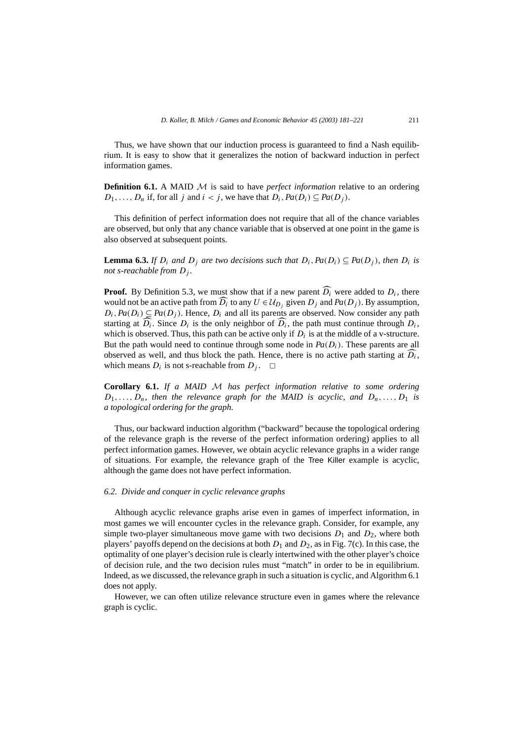Thus, we have shown that our induction process is guaranteed to find a Nash equilibrium. It is easy to show that it generalizes the notion of backward induction in perfect information games.

**Definition 6.1.** A MAID M is said to have *perfect information* relative to an ordering *D*<sub>1</sub>*,..., D<sub>n</sub>* if, for all *j* and  $i < j$ , we have that  $D_i$ ,  $Pa(D_i) \subseteq Pa(D_j)$ .

This definition of perfect information does not require that all of the chance variables are observed, but only that any chance variable that is observed at one point in the game is also observed at subsequent points.

**Lemma 6.3.** *If*  $D_i$  *and*  $D_j$  *are two decisions such that*  $D_i$ *,*  $Pa(D_i) \subseteq Pa(D_i)$ *, then*  $D_i$  *is not s-reachable from Dj .*

**Proof.** By Definition 5.3, we must show that if a new parent  $D_i$  were added to  $D_i$ , there would not be an active path from  $\widehat{D_i}$  to any  $U \in \mathcal{U}_{D_j}$  given  $D_j$  and  $Pa(D_j)$ . By assumption,  $D_i$ ,  $Pa(D_i) \subseteq Pa(D_i)$ . Hence,  $D_i$  and all its parents are observed. Now consider any path starting at  $D_i$ . Since  $D_i$  is the only neighbor of  $D_i$ , the path must continue through  $D_i$ , which is observed. Thus, this path can be active only if  $D_i$  is at the middle of a v-structure. But the path would need to continue through some node in  $Pa(D_i)$ . These parents are all observed as well, and thus block the path. Hence, there is no active path starting at  $\overline{D_i}$ , which means  $D_i$  is not s-reachable from  $D_i$ .  $\Box$ 

**Corollary 6.1.** *If a MAID* M *has perfect information relative to some ordering*  $D_1, \ldots, D_n$ , then the relevance graph for the MAID is acyclic, and  $D_n, \ldots, D_1$  is *a topological ordering for the graph.*

Thus, our backward induction algorithm ("backward" because the topological ordering of the relevance graph is the reverse of the perfect information ordering) applies to all perfect information games. However, we obtain acyclic relevance graphs in a wider range of situations. For example, the relevance graph of the Tree Killer example is acyclic, although the game does not have perfect information.

# *6.2. Divide and conquer in cyclic relevance graphs*

Although acyclic relevance graphs arise even in games of imperfect information, in most games we will encounter cycles in the relevance graph. Consider, for example, any simple two-player simultaneous move game with two decisions  $D_1$  and  $D_2$ , where both players' payoffs depend on the decisions at both  $D_1$  and  $D_2$ , as in Fig. 7(c). In this case, the optimality of one player's decision rule is clearly intertwined with the other player's choice of decision rule, and the two decision rules must "match" in order to be in equilibrium. Indeed, as we discussed, the relevance graph in such a situation is cyclic, and Algorithm 6.1 does not apply.

However, we can often utilize relevance structure even in games where the relevance graph is cyclic.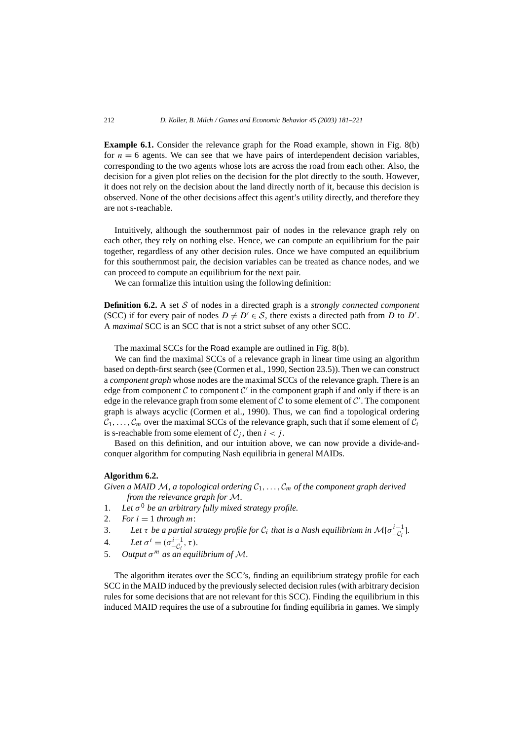**Example 6.1.** Consider the relevance graph for the Road example, shown in Fig. 8(b) for  $n = 6$  agents. We can see that we have pairs of interdependent decision variables, corresponding to the two agents whose lots are across the road from each other. Also, the decision for a given plot relies on the decision for the plot directly to the south. However, it does not rely on the decision about the land directly north of it, because this decision is observed. None of the other decisions affect this agent's utility directly, and therefore they are not s-reachable.

Intuitively, although the southernmost pair of nodes in the relevance graph rely on each other, they rely on nothing else. Hence, we can compute an equilibrium for the pair together, regardless of any other decision rules. Once we have computed an equilibrium for this southernmost pair, the decision variables can be treated as chance nodes, and we can proceed to compute an equilibrium for the next pair.

We can formalize this intuition using the following definition:

**Definition 6.2.** A set S of nodes in a directed graph is a *strongly connected component* (SCC) if for every pair of nodes  $D \neq D' \in S$ , there exists a directed path from *D* to *D'*. A *maximal* SCC is an SCC that is not a strict subset of any other SCC.

The maximal SCCs for the Road example are outlined in Fig. 8(b).

We can find the maximal SCCs of a relevance graph in linear time using an algorithm based on depth-first search (see (Cormen et al., 1990, Section 23.5)). Then we can construct a *component graph* whose nodes are the maximal SCCs of the relevance graph. There is an edge from component  $C$  to component  $C'$  in the component graph if and only if there is an edge in the relevance graph from some element of  $C$  to some element of  $C'$ . The component graph is always acyclic (Cormen et al., 1990). Thus, we can find a topological ordering  $C_1, \ldots, C_m$  over the maximal SCCs of the relevance graph, such that if some element of  $C_i$ is s-reachable from some element of  $C_i$ , then  $i < j$ .

Based on this definition, and our intuition above, we can now provide a divide-andconquer algorithm for computing Nash equilibria in general MAIDs.

# **Algorithm 6.2.**

*Given a MAID M, a topological ordering*  $C_1, \ldots, C_m$  *of the component graph derived from the relevance graph for* M*.*

- 1. Let  $\sigma^0$  be an arbitrary fully mixed strategy profile.
- 2. *For*  $i = 1$  *through*  $m$ :
- 3. Let  $\tau$  *be a partial strategy profile for*  $C_i$  *that is a Nash equilibrium in*  $M[\sigma_{-C_i}^{i-1}]$ .
- 4. Let  $\sigma^i = (\sigma_{-\mathcal{C}_i}^{i-1}, \tau)$ .
- 5. *Output*  $\sigma^m$  *as an equilibrium of*  $M$ .

The algorithm iterates over the SCC's, finding an equilibrium strategy profile for each SCC in the MAID induced by the previously selected decision rules (with arbitrary decision rules for some decisions that are not relevant for this SCC). Finding the equilibrium in this induced MAID requires the use of a subroutine for finding equilibria in games. We simply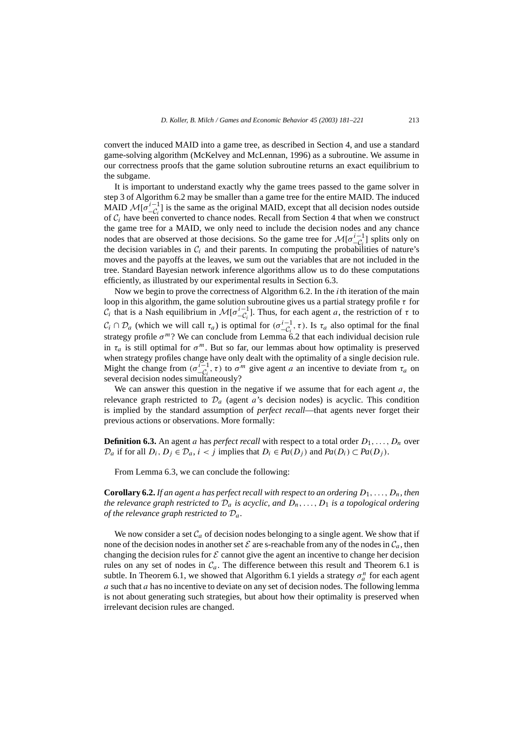convert the induced MAID into a game tree, as described in Section 4, and use a standard game-solving algorithm (McKelvey and McLennan, 1996) as a subroutine. We assume in our correctness proofs that the game solution subroutine returns an exact equilibrium to the subgame.

It is important to understand exactly why the game trees passed to the game solver in step 3 of Algorithm 6.2 may be smaller than a game tree for the entire MAID. The induced MAID  $\mathcal{M}[\sigma_{-\mathcal{C}_i}^{i-1}]$  is the same as the original MAID, except that all decision nodes outside  $C_i$  have been converted to chance nodes. Recall from Section 4 that when we construct of  $C_i$  have been converted to chance nodes. Recall from Section 4 that when we construct the game tree for a MAID, we only need to include the decision nodes and any chance nodes that are observed at those decisions. So the game tree for  $\mathcal{M}[\sigma_{-C}^{i-1}]$  splits only on the decision uniclear is  $\mathcal{C}_c$  and their negative. In computing the angle litting of networks the decision variables in  $C_i$  and their parents. In computing the probabilities of nature's moves and the payoffs at the leaves, we sum out the variables that are not included in the tree. Standard Bayesian network inference algorithms allow us to do these computations efficiently, as illustrated by our experimental results in Section 6.3.

Now we begin to prove the correctness of Algorithm 6.2. In the *i*th iteration of the main loop in this algorithm, the game solution subroutine gives us a partial strategy profile *τ* for  $\mathcal{C}_i$  that is a Nash equilibrium in  $\mathcal{M}[\sigma_{-\mathcal{C}_i}^{i-1}]$ . Thus, for each agent *a*, the restriction of  $\tau$  to  $\mathcal{C}_i \cap \mathcal{D}_a$  (which we will call  $\tau_a$ ) is optimal for  $(\sigma_{-\mathcal{C}_i}^{i-1}, \tau)$ . Is  $\tau_a$  also optimal for the final strategy profile  $\sigma^m$ ? We can conclude from Lemma 6.2 that each individual decision rule in  $\tau_a$  is still optimal for  $\sigma^m$ . But so far, our lemmas about how optimality is preserved when strategy profiles change have only dealt with the optimality of a single decision rule. Might the change from  $(\sigma_{-C}^{i-1}, \tau)$  to  $\sigma^m$  give agent *a* an incentive to deviate from  $\tau_a$  on several decision nodes simultaneously?

We can answer this question in the negative if we assume that for each agent *a*, the relevance graph restricted to  $\mathcal{D}_a$  (agent *a*'s decision nodes) is acyclic. This condition is implied by the standard assumption of *perfect recall*—that agents never forget their previous actions or observations. More formally:

**Definition 6.3.** An agent *a* has *perfect recall* with respect to a total order  $D_1, \ldots, D_n$  over  $\mathcal{D}_a$  if for all  $D_i$ ,  $D_j \in \mathcal{D}_a$ ,  $i < j$  implies that  $D_i \in \mathit{Pa}(D_j)$  and  $\mathit{Pa}(D_i) \subset \mathit{Pa}(D_j)$ .

From Lemma 6.3, we can conclude the following:

**Corollary 6.2.** If an agent a has perfect recall with respect to an ordering  $D_1, \ldots, D_n$ , then *the relevance graph restricted to*  $\mathcal{D}_a$  *is acyclic, and*  $D_n, \ldots, D_1$  *is a topological ordering of the relevance graph restricted to* D*a.*

We now consider a set  $C_a$  of decision nodes belonging to a single agent. We show that if none of the decision nodes in another set  $\mathcal E$  are s-reachable from any of the nodes in  $\mathcal C_a$ , then changing the decision rules for  $\mathcal E$  cannot give the agent an incentive to change her decision rules on any set of nodes in  $C_a$ . The difference between this result and Theorem 6.1 is subtle. In Theorem 6.1, we showed that Algorithm 6.1 yields a strategy  $\sigma_a^n$  for each agent *a* such that *a* has no incentive to deviate on any set of decision nodes. The following lemma is not about generating such strategies, but about how their optimality is preserved when irrelevant decision rules are changed.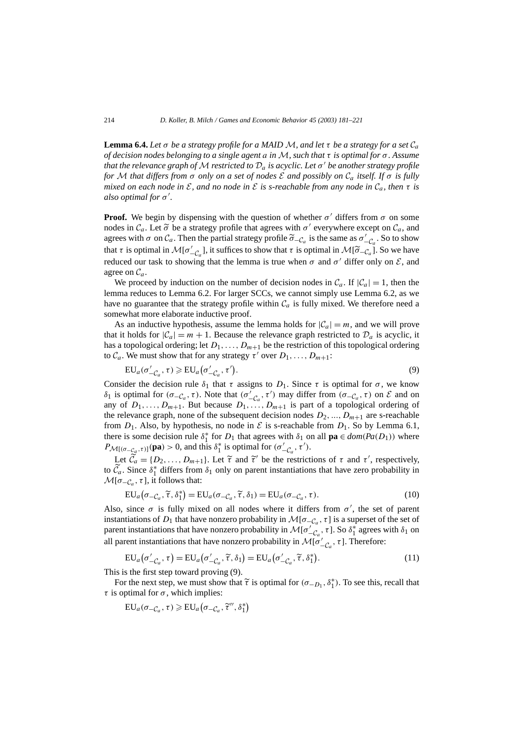**Lemma 6.4.** Let  $\sigma$  be a strategy profile for a MAID M, and let  $\tau$  be a strategy for a set  $C_a$ *of decision nodes belonging to a single agent a in* M*, such that τ is optimal for σ . Assume that the relevance graph of*  $\cal M$  *restricted to*  $\cal D_a$  *is acyclic. Let*  $\sigma'$  *be another strategy profile for* M *that differs from σ only on a set of nodes* E *and possibly on* C*<sup>a</sup> itself. If σ is fully mixed on each node in*  $\mathcal{E}$ *, and no node in*  $\mathcal{E}$  *is s-reachable from any node in*  $\mathcal{C}_a$ *, then*  $\tau$  *is* also optimal for  $\sigma'$ .

**Proof.** We begin by dispensing with the question of whether  $\sigma'$  differs from  $\sigma$  on some nodes in  $C_a$ . Let  $\tilde{\sigma}$  be a strategy profile that agrees with  $\sigma'$  everywhere except on  $C_a$ , and agrees with  $\sigma$  on  $C_a$ . Then the partial strategy profile  $\tilde{\sigma}_{-C_a}$  is the same as  $\sigma'_{-C_a}$ . So to show that *τ* is optimal in  $\mathcal{M}[\sigma'_{-C_a}]$ , it suffices to show that *τ* is optimal in  $\mathcal{M}[\tilde{\sigma}_{-C_a}]$ . So we have reduced our task to showing that the lemma is true when  $\sigma$  and  $\sigma'$  differ only on  $\mathcal{E}$ , and agree on  $C_a$ .

We proceed by induction on the number of decision nodes in  $C_a$ . If  $|C_a| = 1$ , then the lemma reduces to Lemma 6.2. For larger SCCs, we cannot simply use Lemma 6.2, as we have no guarantee that the strategy profile within  $C_a$  is fully mixed. We therefore need a somewhat more elaborate inductive proof.

As an inductive hypothesis, assume the lemma holds for  $|\mathcal{C}_a| = m$ , and we will prove that it holds for  $|\mathcal{C}_a| = m + 1$ . Because the relevance graph restricted to  $\mathcal{D}_a$  is acyclic, it has a topological ordering; let  $D_1, \ldots, D_{m+1}$  be the restriction of this topological ordering to  $C_a$ . We must show that for any strategy  $\tau'$  over  $D_1, \ldots, D_{m+1}$ :

$$
EU_a(\sigma'_{-\mathcal{C}_a}, \tau) \geq EU_a(\sigma'_{-\mathcal{C}_a}, \tau').
$$
\n(9)

Consider the decision rule  $\delta_1$  that  $\tau$  assigns to  $D_1$ . Since  $\tau$  is optimal for  $\sigma$ , we know *δ*<sub>1</sub> is optimal for  $(\sigma_{-\mathcal{C}_a}, \tau)$ . Note that  $(\sigma'_{-\mathcal{C}_a}, \tau')$  may differ from  $(\sigma_{-\mathcal{C}_a}, \tau)$  on E and on any of  $D_1, \ldots, D_{m+1}$ . But because  $D_1, \ldots, D_{m+1}$  is part of a topological ordering of the relevance graph, none of the subsequent decision nodes  $D_2, ..., D_{m+1}$  are s-reachable from  $D_1$ . Also, by hypothesis, no node in  $\mathcal E$  is s-reachable from  $D_1$ . So by Lemma 6.1, there is some decision rule  $\delta_1^*$  for  $D_1$  that agrees with  $\delta_1$  on all  $\mathbf{pa} \in \text{dom}(Pa(D_1))$  where  $P_{\mathcal{M}[(\sigma_{-\mathcal{C}_a}, \tau)]}(\mathbf{pa}) > 0$ , and this  $\delta_1^*$  is optimal for  $(\sigma'_{-\mathcal{C}_a}, \tau')$ .

Let  $\widetilde{C}_a = \{D_2, \ldots, D_{m+1}\}\.$  Let  $\widetilde{\tau}$  and  $\widetilde{\tau}'$  be the restrictions of  $\tau$  and  $\tau'$ , respectively, to  $\tilde{C}_a$ . Since  $\delta_1^*$  differs from  $\delta_1$  only on parent instantiations that have zero probability in  $\mathcal{M}[\sigma_{-\mathcal{C}_a}, \tau]$ , it follows that:

$$
EU_a(\sigma_{-\mathcal{C}_a}, \tilde{\tau}, \delta_1^*) = EU_a(\sigma_{-\mathcal{C}_a}, \tilde{\tau}, \delta_1) = EU_a(\sigma_{-\mathcal{C}_a}, \tau).
$$
\n(10)

Also, since  $\sigma$  is fully mixed on all nodes where it differs from  $\sigma'$ , the set of parent instantiations of *D*<sub>1</sub> that have nonzero probability in  $\mathcal{M}[\sigma-\mathcal{C}_a, \tau]$  is a superset of the set of parent instantiations that have nonzero probability in  $\mathcal{M}[\sigma'_{-\mathcal{C}_a}, \tau]$ . So  $\delta_1^*$  agrees with  $\delta_1$  on all parent instantiations that have nonzero probability in  $\mathcal{M}[\sigma'_{-C_a}, \tau]$ . Therefore:

$$
EU_a(\sigma'_{-\mathcal{C}_a}, \tau) = EU_a(\sigma'_{-\mathcal{C}_a}, \widetilde{\tau}, \delta_1) = EU_a(\sigma'_{-\mathcal{C}_a}, \widetilde{\tau}, \delta_1^*).
$$
\n(11)

This is the first step toward proving (9).

For the next step, we must show that  $\tilde{\tau}$  is optimal for  $(\sigma_{-D_1}, \delta_1^*)$ . To see this, recall that  $\tau$  is optimal for  $\sigma$ , which implies:

$$
EU_a(\sigma_{-\mathcal{C}_a}, \tau) \geqslant EU_a(\sigma_{-\mathcal{C}_a}, \widetilde{\tau}'', \delta_1^*)
$$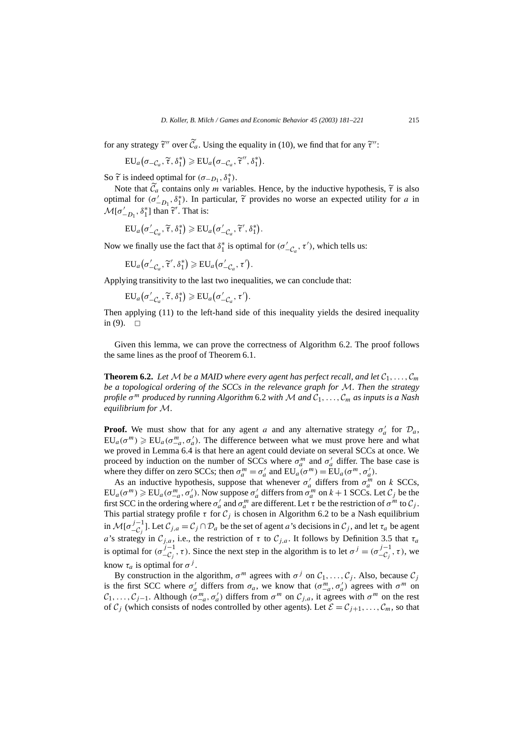for any strategy  $\tilde{\tau}''$  over  $\tilde{\mathcal{C}}_a$ . Using the equality in (10), we find that for any  $\tilde{\tau}''$ :

$$
EU_a(\sigma_{-\mathcal{C}_a}, \widetilde{\tau}, \delta_1^*) \geq EU_a(\sigma_{-\mathcal{C}_a}, \widetilde{\tau}'', \delta_1^*).
$$

So  $\tilde{\tau}$  is indeed optimal for  $(\sigma_{-D_1}, \delta_1^*)$ .

Note that  $C_a$  contains only *m* variables. Hence, by the inductive hypothesis,  $\tilde{\tau}$  is also optimal for  $(\sigma'_{-D_1}, \delta_1^*)$ . In particular,  $\tilde{\tau}$  provides no worse an expected utility for *a* in  $\mathcal{M}[\sigma'_{-D_1}, \delta_1^*]$  than  $\tilde{\tau}'$ . That is:

$$
EU_a(\sigma'_{-\mathcal{C}_a}, \widetilde{\tau}, \delta_1^*) \geqslant EU_a(\sigma'_{-\mathcal{C}_a}, \widetilde{\tau}', \delta_1^*).
$$

Now we finally use the fact that  $\delta_1^*$  is optimal for  $(\sigma'_{-\mathcal{C}_a}, \tau')$ , which tells us:

 $\text{EU}_a(\sigma'_{-\mathcal{C}_a}, \tilde{\tau}', \delta_1^*) \geq \text{EU}_a(\sigma'_{-\mathcal{C}_a}, \tau').$ 

Applying transitivity to the last two inequalities, we can conclude that:

 $\text{EU}_a(\sigma'_{-\mathcal{C}_a}, \tilde{\tau}, \delta_1^*) \geqslant \text{EU}_a(\sigma'_{-\mathcal{C}_a}, \tau').$ 

Then applying (11) to the left-hand side of this inequality yields the desired inequality in  $(9)$ .  $\Box$ 

Given this lemma, we can prove the correctness of Algorithm 6.2. The proof follows the same lines as the proof of Theorem 6.1.

**Theorem 6.2.** Let M be a MAID where every agent has perfect recall, and let  $C_1, \ldots, C_m$ *be a topological ordering of the SCCs in the relevance graph for* M*. Then the strategy profile <sup>σ</sup> <sup>m</sup> produced by running Algorithm* 6.2 *with* <sup>M</sup> *and* <sup>C</sup>1*,...,* <sup>C</sup>*<sup>m</sup> as inputs is a Nash equilibrium for* M*.*

**Proof.** We must show that for any agent *a* and any alternative strategy  $\sigma'_a$  for  $\mathcal{D}_a$ ,  $EU_a(\sigma^m) \geqslant EU_a(\sigma^m_{-a}, \sigma'_a)$ . The difference between what we must prove here and what we proved in Lemma 6.4 is that here an agent could deviate on several SCCs at once. We proceed by induction on the number of SCCs where  $\sigma_a^m$  and  $\sigma_a^{\prime}$  differ. The base case is where they differ on zero SCCs; then  $\sigma_a^m = \sigma_a^{\prime}$  and  $EU_a(\sigma^m) = EU_a(\sigma^m, \sigma_a^{\prime})$ .

As an inductive hypothesis, suppose that whenever  $\sigma'_a$  differs from  $\sigma_a^m$  on *k* SCCs,  $EU_a(\sigma^m) \geq EU_a(\sigma^m_{-a}, \sigma'_a)$ . Now suppose  $\sigma'_a$  differs from  $\sigma^m_a$  on  $k+1$  SCCs. Let  $\mathcal{C}_j$  be the first SCC in the ordering where  $\sigma'_a$  and  $\sigma_a^m$  are different. Let  $\tau$  be the restriction of  $\sigma^m$  to  $C_j$ . This partial strategy profile  $\tau$  for  $C_j$  is chosen in Algorithm 6.2 to be a Nash equilibrium in  $\mathcal{M}[\sigma_{-\mathcal{C}_j}^{j-1}]$ . Let  $\mathcal{C}_{j,a} = \mathcal{C}_j \cap \mathcal{D}_a$  be the set of agent *a*'s decisions in  $\mathcal{C}_j$ , and let  $\tau_a$  be agent *a*'s strategy in  $C_{j,a}$ , i.e., the restriction of  $\tau$  to  $C_{j,a}$ . It follows by Definition 3.5 that  $\tau_a$ is optimal for  $(\sigma^{j-1}_{-\mathcal{C}_j}, \tau)$ . Since the next step in the algorithm is to let  $\sigma^j = (\sigma^{j-1}_{-\mathcal{C}_j}, \tau)$ , we know  $\tau_a$  is optimal for  $\sigma^j$ .

By construction in the algorithm,  $\sigma^m$  agrees with  $\sigma^j$  on  $C_1, \ldots, C_j$ . Also, because  $C_j$ is the first SCC where  $\sigma'_a$  differs from  $\sigma_a$ , we know that  $(\sigma^m_{-a}, \sigma'_a)$  agrees with  $\sigma^m$  on  $C_1, \ldots, C_{j-1}$ . Although  $(\sigma^m_{-a}, \sigma'_a)$  differs from  $\sigma^m$  on  $C_{j,a}$ , it agrees with  $\sigma^m$  on the rest of  $C_j$  (which consists of nodes controlled by other agents). Let  $\mathcal{E} = C_{j+1}, \ldots, C_m$ , so that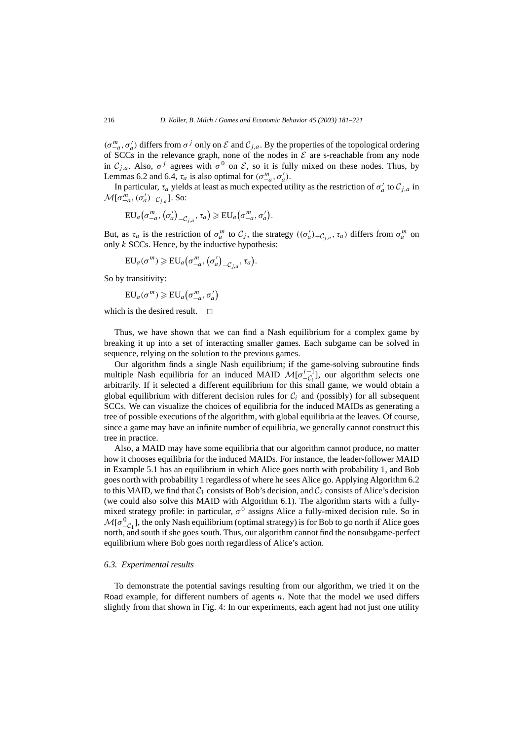$(\sigma_{-a}^m, \sigma_a)$  differs from  $\sigma^j$  only on E and  $C_{j,a}$ . By the properties of the topological ordering of SCCs in the relevance graph, none of the nodes in  $\mathcal E$  are s-reachable from any node in  $C_{i,a}$ . Also,  $\sigma^j$  agrees with  $\sigma^0$  on  $\mathcal E$ , so it is fully mixed on these nodes. Thus, by Lemmas 6.2 and 6.4,  $\tau_a$  is also optimal for  $(\sigma_{-a}^m, \sigma_a^{\prime})$ .

In particular,  $\tau_a$  yields at least as much expected utility as the restriction of  $\sigma'_a$  to  $\mathcal{C}_{j,a}$  in  $\mathcal{M}[\sigma_{-a}^m, (\sigma_a')_{-\mathcal{C}_{j,a}}]$ . So:

$$
EU_a(\sigma_{-a}^m,(\sigma_a')_{-\mathcal{C}_{j,a}},\tau_a) \geqslant EU_a(\sigma_{-a}^m,\sigma_a').
$$

But, as  $\tau_a$  is the restriction of  $\sigma_a^m$  to  $C_j$ , the strategy  $((\sigma'_a)_{-C_{j,a}}, \tau_a)$  differs from  $\sigma_a^m$  on only *k* SCCs. Hence, by the inductive hypothesis:

$$
EU_a(\sigma^m) \geqslant EU_a(\sigma^m_{-a}, (\sigma'_a)_{-\mathcal{C}_{j,a}}, \tau_a).
$$

So by transitivity:

$$
EU_a(\sigma^m) \geqslant EU_a(\sigma^m_{-a}, \sigma'_a)
$$

which is the desired result.  $\Box$ 

Thus, we have shown that we can find a Nash equilibrium for a complex game by breaking it up into a set of interacting smaller games. Each subgame can be solved in sequence, relying on the solution to the previous games.

Our algorithm finds a single Nash equilibrium; if the game-solving subroutine finds multiple Nash equilibria for an induced MAID  $\mathcal{M}[\sigma_{-C}^{i-1}]$ , our algorithm selects one arbitrarily. If it selected a different equilibrium for this small game, we would obtain a global equilibrium with different decision rules for  $C_i$  and (possibly) for all subsequent SCCs. We can visualize the choices of equilibria for the induced MAIDs as generating a tree of possible executions of the algorithm, with global equilibria at the leaves. Of course, since a game may have an infinite number of equilibria, we generally cannot construct this tree in practice.

Also, a MAID may have some equilibria that our algorithm cannot produce, no matter how it chooses equilibria for the induced MAIDs. For instance, the leader-follower MAID in Example 5.1 has an equilibrium in which Alice goes north with probability 1, and Bob goes north with probability 1 regardless of where he sees Alice go. Applying Algorithm 6.2 to this MAID, we find that  $C_1$  consists of Bob's decision, and  $C_2$  consists of Alice's decision (we could also solve this MAID with Algorithm 6.1). The algorithm starts with a fullymixed strategy profile: in particular,  $\sigma^0$  assigns Alice a fully-mixed decision rule. So in  $\mathcal{M}[\sigma_{-C_1}^0]$ , the only Nash equilibrium (optimal strategy) is for Bob to go north if Alice goes north, and south if she goes south. Thus, our algorithm cannot find the nonsubgame-perfect equilibrium where Bob goes north regardless of Alice's action.

# *6.3. Experimental results*

To demonstrate the potential savings resulting from our algorithm, we tried it on the Road example, for different numbers of agents *n*. Note that the model we used differs slightly from that shown in Fig. 4: In our experiments, each agent had not just one utility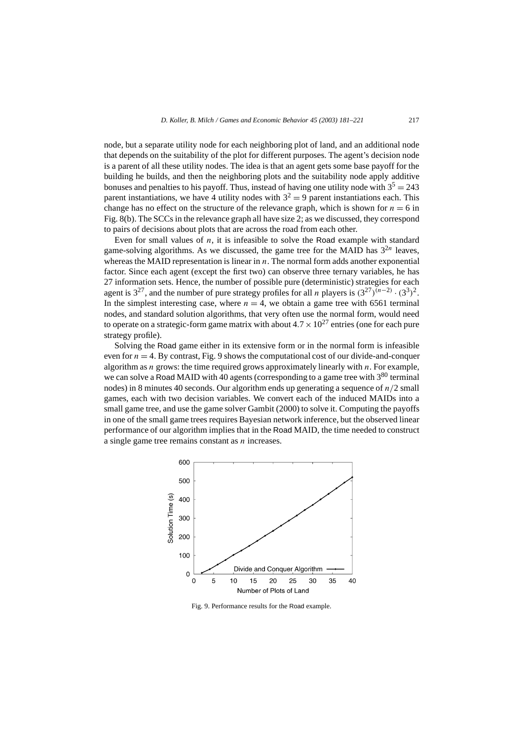node, but a separate utility node for each neighboring plot of land, and an additional node that depends on the suitability of the plot for different purposes. The agent's decision node is a parent of all these utility nodes. The idea is that an agent gets some base payoff for the building he builds, and then the neighboring plots and the suitability node apply additive bonuses and penalties to his payoff. Thus, instead of having one utility node with  $3^5 = 243$ parent instantiations, we have 4 utility nodes with  $3^2 = 9$  parent instantiations each. This change has no effect on the structure of the relevance graph, which is shown for  $n = 6$  in Fig. 8(b). The SCCs in the relevance graph all have size 2; as we discussed, they correspond to pairs of decisions about plots that are across the road from each other.

Even for small values of *n*, it is infeasible to solve the Road example with standard game-solving algorithms. As we discussed, the game tree for the MAID has  $3^{2n}$  leaves, whereas the MAID representation is linear in *n*. The normal form adds another exponential factor. Since each agent (except the first two) can observe three ternary variables, he has 27 information sets. Hence, the number of possible pure (deterministic) strategies for each agent is  $3^{27}$ , and the number of pure strategy profiles for all *n* players is  $(3^{27})^{(n-2)} \cdot (3^3)^2$ . In the simplest interesting case, where  $n = 4$ , we obtain a game tree with 6561 terminal nodes, and standard solution algorithms, that very often use the normal form, would need to operate on a strategic-form game matrix with about  $4.7 \times 10^{27}$  entries (one for each pure strategy profile).

Solving the Road game either in its extensive form or in the normal form is infeasible even for  $n = 4$ . By contrast, Fig. 9 shows the computational cost of our divide-and-conquer algorithm as *n* grows: the time required grows approximately linearly with *n*. For example, we can solve a Road MAID with 40 agents (corresponding to a game tree with  $3^{80}$  terminal nodes) in 8 minutes 40 seconds. Our algorithm ends up generating a sequence of *n/*2 small games, each with two decision variables. We convert each of the induced MAIDs into a small game tree, and use the game solver Gambit (2000) to solve it. Computing the payoffs in one of the small game trees requires Bayesian network inference, but the observed linear performance of our algorithm implies that in the Road MAID, the time needed to construct a single game tree remains constant as *n* increases.



Fig. 9. Performance results for the Road example.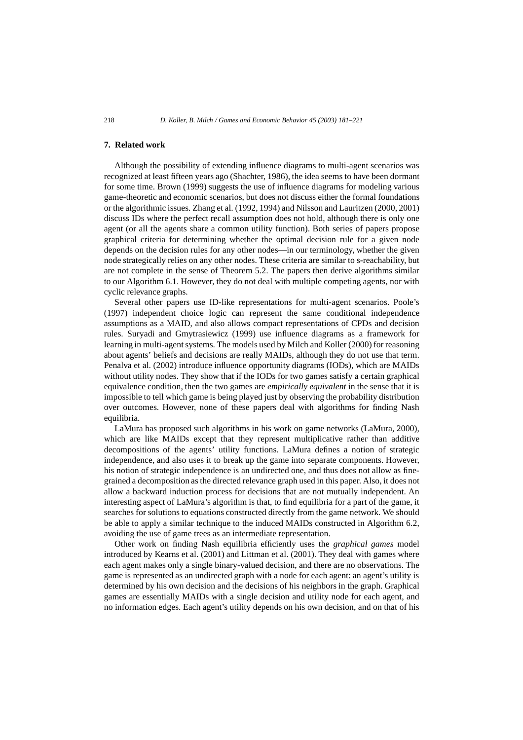# **7. Related work**

Although the possibility of extending influence diagrams to multi-agent scenarios was recognized at least fifteen years ago (Shachter, 1986), the idea seems to have been dormant for some time. Brown (1999) suggests the use of influence diagrams for modeling various game-theoretic and economic scenarios, but does not discuss either the formal foundations or the algorithmic issues. Zhang et al. (1992, 1994) and Nilsson and Lauritzen (2000, 2001) discuss IDs where the perfect recall assumption does not hold, although there is only one agent (or all the agents share a common utility function). Both series of papers propose graphical criteria for determining whether the optimal decision rule for a given node depends on the decision rules for any other nodes—in our terminology, whether the given node strategically relies on any other nodes. These criteria are similar to s-reachability, but are not complete in the sense of Theorem 5.2. The papers then derive algorithms similar to our Algorithm 6.1. However, they do not deal with multiple competing agents, nor with cyclic relevance graphs.

Several other papers use ID-like representations for multi-agent scenarios. Poole's (1997) independent choice logic can represent the same conditional independence assumptions as a MAID, and also allows compact representations of CPDs and decision rules. Suryadi and Gmytrasiewicz (1999) use influence diagrams as a framework for learning in multi-agent systems. The models used by Milch and Koller (2000) for reasoning about agents' beliefs and decisions are really MAIDs, although they do not use that term. Penalva et al. (2002) introduce influence opportunity diagrams (IODs), which are MAIDs without utility nodes. They show that if the IODs for two games satisfy a certain graphical equivalence condition, then the two games are *empirically equivalent* in the sense that it is impossible to tell which game is being played just by observing the probability distribution over outcomes. However, none of these papers deal with algorithms for finding Nash equilibria.

LaMura has proposed such algorithms in his work on game networks (LaMura, 2000), which are like MAIDs except that they represent multiplicative rather than additive decompositions of the agents' utility functions. LaMura defines a notion of strategic independence, and also uses it to break up the game into separate components. However, his notion of strategic independence is an undirected one, and thus does not allow as finegrained a decomposition as the directed relevance graph used in this paper. Also, it does not allow a backward induction process for decisions that are not mutually independent. An interesting aspect of LaMura's algorithm is that, to find equilibria for a part of the game, it searches for solutions to equations constructed directly from the game network. We should be able to apply a similar technique to the induced MAIDs constructed in Algorithm 6.2, avoiding the use of game trees as an intermediate representation.

Other work on finding Nash equilibria efficiently uses the *graphical games* model introduced by Kearns et al. (2001) and Littman et al. (2001). They deal with games where each agent makes only a single binary-valued decision, and there are no observations. The game is represented as an undirected graph with a node for each agent: an agent's utility is determined by his own decision and the decisions of his neighbors in the graph. Graphical games are essentially MAIDs with a single decision and utility node for each agent, and no information edges. Each agent's utility depends on his own decision, and on that of his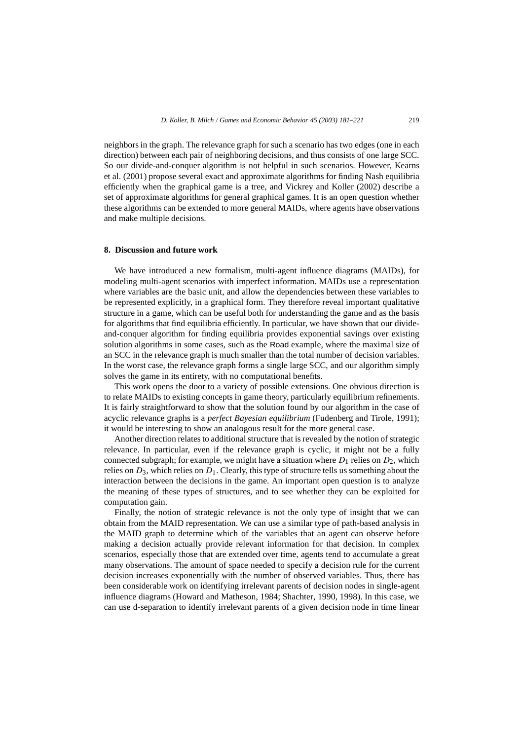neighbors in the graph. The relevance graph for such a scenario has two edges (one in each direction) between each pair of neighboring decisions, and thus consists of one large SCC. So our divide-and-conquer algorithm is not helpful in such scenarios. However, Kearns et al. (2001) propose several exact and approximate algorithms for finding Nash equilibria efficiently when the graphical game is a tree, and Vickrey and Koller (2002) describe a set of approximate algorithms for general graphical games. It is an open question whether these algorithms can be extended to more general MAIDs, where agents have observations and make multiple decisions.

# **8. Discussion and future work**

We have introduced a new formalism, multi-agent influence diagrams (MAIDs), for modeling multi-agent scenarios with imperfect information. MAIDs use a representation where variables are the basic unit, and allow the dependencies between these variables to be represented explicitly, in a graphical form. They therefore reveal important qualitative structure in a game, which can be useful both for understanding the game and as the basis for algorithms that find equilibria efficiently. In particular, we have shown that our divideand-conquer algorithm for finding equilibria provides exponential savings over existing solution algorithms in some cases, such as the Road example, where the maximal size of an SCC in the relevance graph is much smaller than the total number of decision variables. In the worst case, the relevance graph forms a single large SCC, and our algorithm simply solves the game in its entirety, with no computational benefits.

This work opens the door to a variety of possible extensions. One obvious direction is to relate MAIDs to existing concepts in game theory, particularly equilibrium refinements. It is fairly straightforward to show that the solution found by our algorithm in the case of acyclic relevance graphs is a *perfect Bayesian equilibrium* (Fudenberg and Tirole, 1991); it would be interesting to show an analogous result for the more general case.

Another direction relates to additional structure that is revealed by the notion of strategic relevance. In particular, even if the relevance graph is cyclic, it might not be a fully connected subgraph; for example, we might have a situation where  $D_1$  relies on  $D_2$ , which relies on  $D_3$ , which relies on  $D_1$ . Clearly, this type of structure tells us something about the interaction between the decisions in the game. An important open question is to analyze the meaning of these types of structures, and to see whether they can be exploited for computation gain.

Finally, the notion of strategic relevance is not the only type of insight that we can obtain from the MAID representation. We can use a similar type of path-based analysis in the MAID graph to determine which of the variables that an agent can observe before making a decision actually provide relevant information for that decision. In complex scenarios, especially those that are extended over time, agents tend to accumulate a great many observations. The amount of space needed to specify a decision rule for the current decision increases exponentially with the number of observed variables. Thus, there has been considerable work on identifying irrelevant parents of decision nodes in single-agent influence diagrams (Howard and Matheson, 1984; Shachter, 1990, 1998). In this case, we can use d-separation to identify irrelevant parents of a given decision node in time linear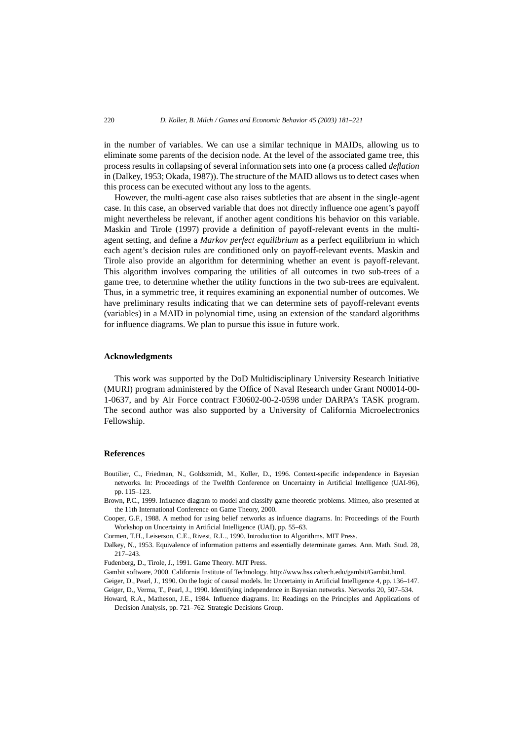in the number of variables. We can use a similar technique in MAIDs, allowing us to eliminate some parents of the decision node. At the level of the associated game tree, this process results in collapsing of several information sets into one (a process called *deflation* in (Dalkey, 1953; Okada, 1987)). The structure of the MAID allows us to detect cases when this process can be executed without any loss to the agents.

However, the multi-agent case also raises subtleties that are absent in the single-agent case. In this case, an observed variable that does not directly influence one agent's payoff might nevertheless be relevant, if another agent conditions his behavior on this variable. Maskin and Tirole (1997) provide a definition of payoff-relevant events in the multiagent setting, and define a *Markov perfect equilibrium* as a perfect equilibrium in which each agent's decision rules are conditioned only on payoff-relevant events. Maskin and Tirole also provide an algorithm for determining whether an event is payoff-relevant. This algorithm involves comparing the utilities of all outcomes in two sub-trees of a game tree, to determine whether the utility functions in the two sub-trees are equivalent. Thus, in a symmetric tree, it requires examining an exponential number of outcomes. We have preliminary results indicating that we can determine sets of payoff-relevant events (variables) in a MAID in polynomial time, using an extension of the standard algorithms for influence diagrams. We plan to pursue this issue in future work.

#### **Acknowledgments**

This work was supported by the DoD Multidisciplinary University Research Initiative (MURI) program administered by the Office of Naval Research under Grant N00014-00- 1-0637, and by Air Force contract F30602-00-2-0598 under DARPA's TASK program. The second author was also supported by a University of California Microelectronics Fellowship.

#### **References**

- Boutilier, C., Friedman, N., Goldszmidt, M., Koller, D., 1996. Context-specific independence in Bayesian networks. In: Proceedings of the Twelfth Conference on Uncertainty in Artificial Intelligence (UAI-96), pp. 115–123.
- Brown, P.C., 1999. Influence diagram to model and classify game theoretic problems. Mimeo, also presented at the 11th International Conference on Game Theory, 2000.
- Cooper, G.F., 1988. A method for using belief networks as influence diagrams. In: Proceedings of the Fourth Workshop on Uncertainty in Artificial Intelligence (UAI), pp. 55–63.
- Cormen, T.H., Leiserson, C.E., Rivest, R.L., 1990. Introduction to Algorithms. MIT Press.
- Dalkey, N., 1953. Equivalence of information patterns and essentially determinate games. Ann. Math. Stud. 28, 217–243.
- Fudenberg, D., Tirole, J., 1991. Game Theory. MIT Press.
- Gambit software, 2000. California Institute of Technology. http://www.hss.caltech.edu/gambit/Gambit.html.
- Geiger, D., Pearl, J., 1990. On the logic of causal models. In: Uncertainty in Artificial Intelligence 4, pp. 136–147. Geiger, D., Verma, T., Pearl, J., 1990. Identifying independence in Bayesian networks. Networks 20, 507–534.
- Howard, R.A., Matheson, J.E., 1984. Influence diagrams. In: Readings on the Principles and Applications of Decision Analysis, pp. 721–762. Strategic Decisions Group.